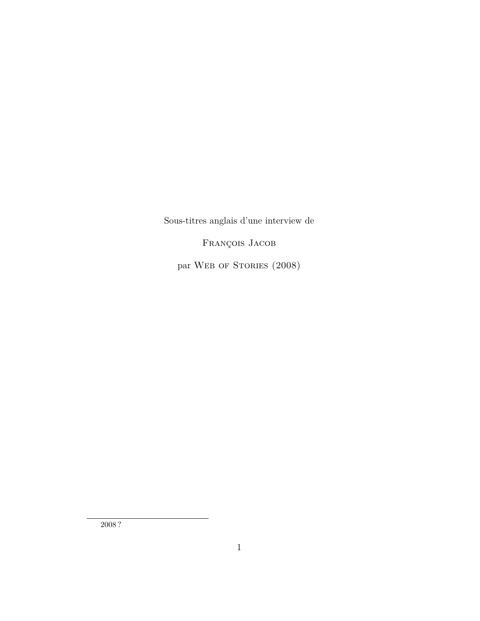Sous-titres anglais d'une interview de

François Jacob

par WEB OF STORIES (2008)

2008 ?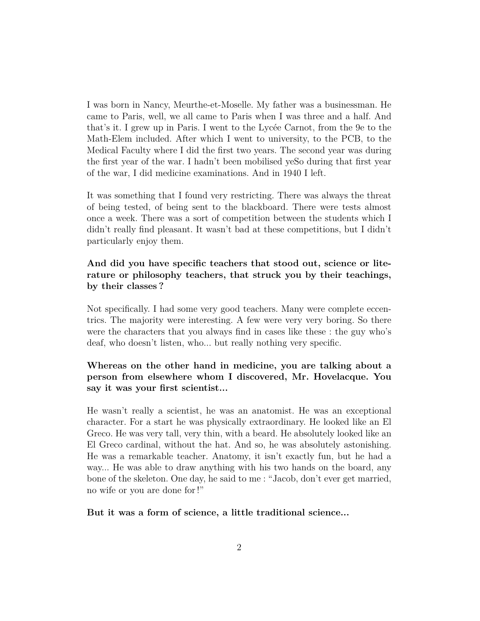I was born in Nancy, Meurthe-et-Moselle. My father was a businessman. He came to Paris, well, we all came to Paris when I was three and a half. And that's it. I grew up in Paris. I went to the Lycée Carnot, from the 9e to the Math-Elem included. After which I went to university, to the PCB, to the Medical Faculty where I did the first two years. The second year was during the first year of the war. I hadn't been mobilised yeSo during that first year of the war, I did medicine examinations. And in 1940 I left.

It was something that I found very restricting. There was always the threat of being tested, of being sent to the blackboard. There were tests almost once a week. There was a sort of competition between the students which I didn't really find pleasant. It wasn't bad at these competitions, but I didn't particularly enjoy them.

# **And did you have specific teachers that stood out, science or literature or philosophy teachers, that struck you by their teachings, by their classes ?**

Not specifically. I had some very good teachers. Many were complete eccentrics. The majority were interesting. A few were very very boring. So there were the characters that you always find in cases like these : the guy who's deaf, who doesn't listen, who... but really nothing very specific.

# **Whereas on the other hand in medicine, you are talking about a person from elsewhere whom I discovered, Mr. Hovelacque. You say it was your first scientist...**

He wasn't really a scientist, he was an anatomist. He was an exceptional character. For a start he was physically extraordinary. He looked like an El Greco. He was very tall, very thin, with a beard. He absolutely looked like an El Greco cardinal, without the hat. And so, he was absolutely astonishing. He was a remarkable teacher. Anatomy, it isn't exactly fun, but he had a way... He was able to draw anything with his two hands on the board, any bone of the skeleton. One day, he said to me : "Jacob, don't ever get married, no wife or you are done for !"

### **But it was a form of science, a little traditional science...**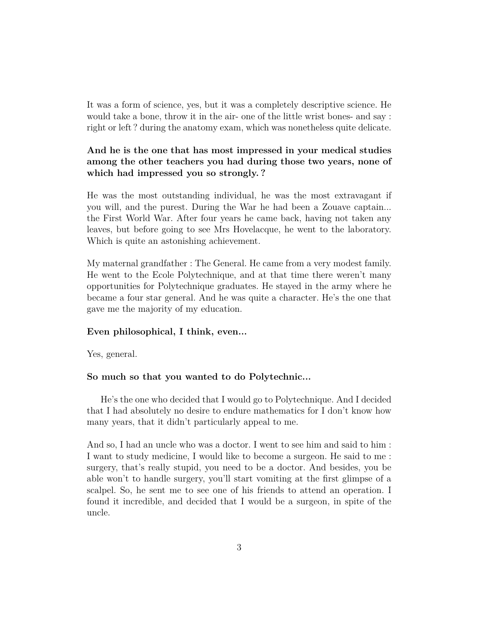It was a form of science, yes, but it was a completely descriptive science. He would take a bone, throw it in the air- one of the little wrist bones- and say : right or left ? during the anatomy exam, which was nonetheless quite delicate.

# **And he is the one that has most impressed in your medical studies among the other teachers you had during those two years, none of which had impressed you so strongly. ?**

He was the most outstanding individual, he was the most extravagant if you will, and the purest. During the War he had been a Zouave captain... the First World War. After four years he came back, having not taken any leaves, but before going to see Mrs Hovelacque, he went to the laboratory. Which is quite an astonishing achievement.

My maternal grandfather : The General. He came from a very modest family. He went to the Ecole Polytechnique, and at that time there weren't many opportunities for Polytechnique graduates. He stayed in the army where he became a four star general. And he was quite a character. He's the one that gave me the majority of my education.

#### **Even philosophical, I think, even...**

Yes, general.

#### **So much so that you wanted to do Polytechnic...**

He's the one who decided that I would go to Polytechnique. And I decided that I had absolutely no desire to endure mathematics for I don't know how many years, that it didn't particularly appeal to me.

And so, I had an uncle who was a doctor. I went to see him and said to him : I want to study medicine, I would like to become a surgeon. He said to me : surgery, that's really stupid, you need to be a doctor. And besides, you be able won't to handle surgery, you'll start vomiting at the first glimpse of a scalpel. So, he sent me to see one of his friends to attend an operation. I found it incredible, and decided that I would be a surgeon, in spite of the uncle.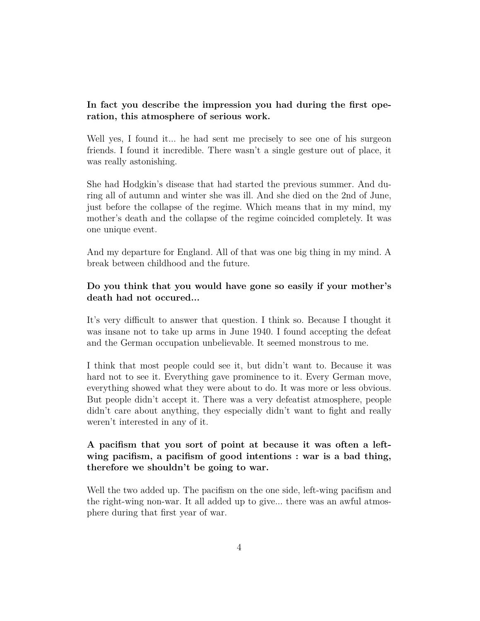# **In fact you describe the impression you had during the first operation, this atmosphere of serious work.**

Well yes, I found it... he had sent me precisely to see one of his surgeon friends. I found it incredible. There wasn't a single gesture out of place, it was really astonishing.

She had Hodgkin's disease that had started the previous summer. And during all of autumn and winter she was ill. And she died on the 2nd of June, just before the collapse of the regime. Which means that in my mind, my mother's death and the collapse of the regime coincided completely. It was one unique event.

And my departure for England. All of that was one big thing in my mind. A break between childhood and the future.

## **Do you think that you would have gone so easily if your mother's death had not occured...**

It's very difficult to answer that question. I think so. Because I thought it was insane not to take up arms in June 1940. I found accepting the defeat and the German occupation unbelievable. It seemed monstrous to me.

I think that most people could see it, but didn't want to. Because it was hard not to see it. Everything gave prominence to it. Every German move, everything showed what they were about to do. It was more or less obvious. But people didn't accept it. There was a very defeatist atmosphere, people didn't care about anything, they especially didn't want to fight and really weren't interested in any of it.

# **A pacifism that you sort of point at because it was often a leftwing pacifism, a pacifism of good intentions : war is a bad thing, therefore we shouldn't be going to war.**

Well the two added up. The pacifism on the one side, left-wing pacifism and the right-wing non-war. It all added up to give... there was an awful atmosphere during that first year of war.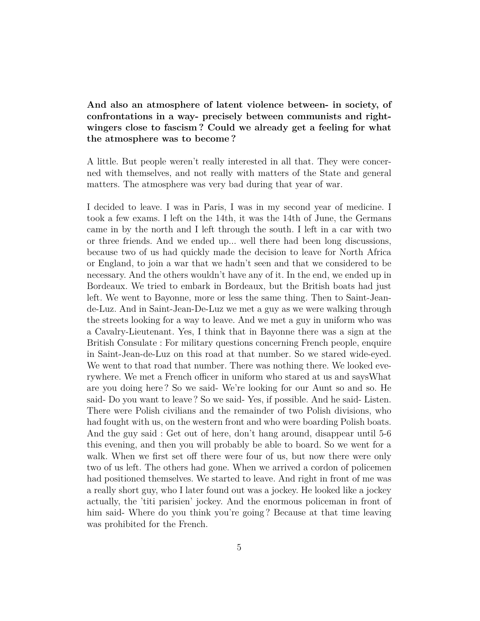**And also an atmosphere of latent violence between- in society, of confrontations in a way- precisely between communists and rightwingers close to fascism ? Could we already get a feeling for what the atmosphere was to become ?**

A little. But people weren't really interested in all that. They were concerned with themselves, and not really with matters of the State and general matters. The atmosphere was very bad during that year of war.

I decided to leave. I was in Paris, I was in my second year of medicine. I took a few exams. I left on the 14th, it was the 14th of June, the Germans came in by the north and I left through the south. I left in a car with two or three friends. And we ended up... well there had been long discussions, because two of us had quickly made the decision to leave for North Africa or England, to join a war that we hadn't seen and that we considered to be necessary. And the others wouldn't have any of it. In the end, we ended up in Bordeaux. We tried to embark in Bordeaux, but the British boats had just left. We went to Bayonne, more or less the same thing. Then to Saint-Jeande-Luz. And in Saint-Jean-De-Luz we met a guy as we were walking through the streets looking for a way to leave. And we met a guy in uniform who was a Cavalry-Lieutenant. Yes, I think that in Bayonne there was a sign at the British Consulate : For military questions concerning French people, enquire in Saint-Jean-de-Luz on this road at that number. So we stared wide-eyed. We went to that road that number. There was nothing there. We looked everywhere. We met a French officer in uniform who stared at us and saysWhat are you doing here ? So we said- We're looking for our Aunt so and so. He said- Do you want to leave ? So we said- Yes, if possible. And he said- Listen. There were Polish civilians and the remainder of two Polish divisions, who had fought with us, on the western front and who were boarding Polish boats. And the guy said : Get out of here, don't hang around, disappear until 5-6 this evening, and then you will probably be able to board. So we went for a walk. When we first set off there were four of us, but now there were only two of us left. The others had gone. When we arrived a cordon of policemen had positioned themselves. We started to leave. And right in front of me was a really short guy, who I later found out was a jockey. He looked like a jockey actually, the 'titi parisien' jockey. And the enormous policeman in front of him said- Where do you think you're going ? Because at that time leaving was prohibited for the French.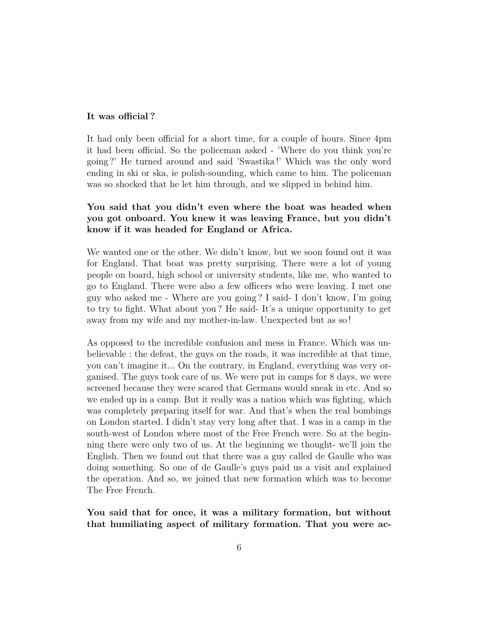#### **It was official ?**

It had only been official for a short time, for a couple of hours. Since 4pm it had been official. So the policeman asked - 'Where do you think you're going ?' He turned around and said 'Swastika !' Which was the only word ending in ski or ska, ie polish-sounding, which came to him. The policeman was so shocked that he let him through, and we slipped in behind him.

# **You said that you didn't even where the boat was headed when you got onboard. You knew it was leaving France, but you didn't know if it was headed for England or Africa.**

We wanted one or the other. We didn't know, but we soon found out it was for England. That boat was pretty surprising. There were a lot of young people on board, high school or university students, like me, who wanted to go to England. There were also a few officers who were leaving. I met one guy who asked me - Where are you going ? I said- I don't know, I'm going to try to fight. What about you ? He said- It's a unique opportunity to get away from my wife and my mother-in-law. Unexpected but as so !

As opposed to the incredible confusion and mess in France. Which was unbelievable : the defeat, the guys on the roads, it was incredible at that time, you can't imagine it... On the contrary, in England, everything was very organised. The guys took care of us. We were put in camps for 8 days, we were screened because they were scared that Germans would sneak in etc. And so we ended up in a camp. But it really was a nation which was fighting, which was completely preparing itself for war. And that's when the real bombings on London started. I didn't stay very long after that. I was in a camp in the south-west of London where most of the Free French were. So at the beginning there were only two of us. At the beginning we thought- we'll join the English. Then we found out that there was a guy called de Gaulle who was doing something. So one of de Gaulle's guys paid us a visit and explained the operation. And so, we joined that new formation which was to become The Free French.

**You said that for once, it was a military formation, but without that humiliating aspect of military formation. That you were ac-**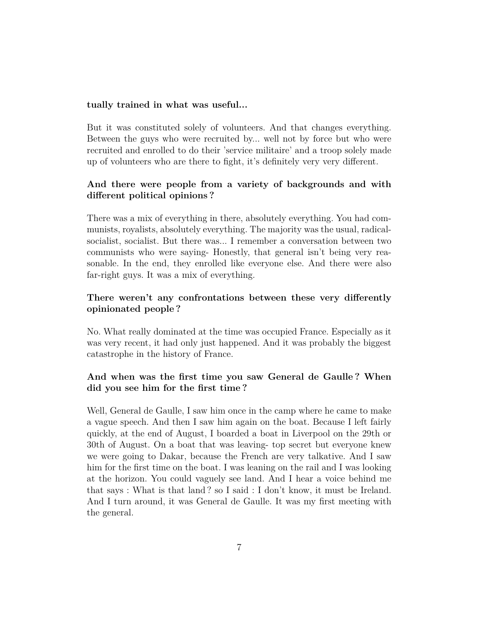#### **tually trained in what was useful...**

But it was constituted solely of volunteers. And that changes everything. Between the guys who were recruited by... well not by force but who were recruited and enrolled to do their 'service militaire' and a troop solely made up of volunteers who are there to fight, it's definitely very very different.

# **And there were people from a variety of backgrounds and with different political opinions ?**

There was a mix of everything in there, absolutely everything. You had communists, royalists, absolutely everything. The majority was the usual, radicalsocialist, socialist. But there was... I remember a conversation between two communists who were saying- Honestly, that general isn't being very reasonable. In the end, they enrolled like everyone else. And there were also far-right guys. It was a mix of everything.

## **There weren't any confrontations between these very differently opinionated people ?**

No. What really dominated at the time was occupied France. Especially as it was very recent, it had only just happened. And it was probably the biggest catastrophe in the history of France.

## **And when was the first time you saw General de Gaulle ? When did you see him for the first time ?**

Well, General de Gaulle, I saw him once in the camp where he came to make a vague speech. And then I saw him again on the boat. Because I left fairly quickly, at the end of August, I boarded a boat in Liverpool on the 29th or 30th of August. On a boat that was leaving- top secret but everyone knew we were going to Dakar, because the French are very talkative. And I saw him for the first time on the boat. I was leaning on the rail and I was looking at the horizon. You could vaguely see land. And I hear a voice behind me that says : What is that land ? so I said : I don't know, it must be Ireland. And I turn around, it was General de Gaulle. It was my first meeting with the general.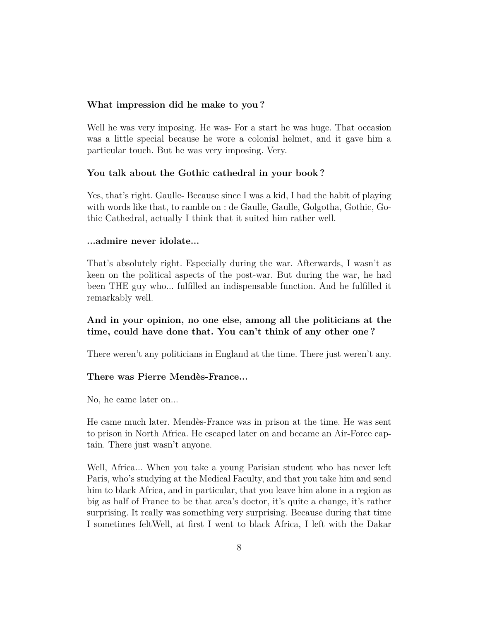### **What impression did he make to you ?**

Well he was very imposing. He was- For a start he was huge. That occasion was a little special because he wore a colonial helmet, and it gave him a particular touch. But he was very imposing. Very.

### **You talk about the Gothic cathedral in your book ?**

Yes, that's right. Gaulle- Because since I was a kid, I had the habit of playing with words like that, to ramble on : de Gaulle, Gaulle, Golgotha, Gothic, Gothic Cathedral, actually I think that it suited him rather well.

### **...admire never idolate...**

That's absolutely right. Especially during the war. Afterwards, I wasn't as keen on the political aspects of the post-war. But during the war, he had been THE guy who... fulfilled an indispensable function. And he fulfilled it remarkably well.

## **And in your opinion, no one else, among all the politicians at the time, could have done that. You can't think of any other one ?**

There weren't any politicians in England at the time. There just weren't any.

### **There was Pierre Mendès-France...**

No, he came later on...

He came much later. Mendès-France was in prison at the time. He was sent to prison in North Africa. He escaped later on and became an Air-Force captain. There just wasn't anyone.

Well, Africa... When you take a young Parisian student who has never left Paris, who's studying at the Medical Faculty, and that you take him and send him to black Africa, and in particular, that you leave him alone in a region as big as half of France to be that area's doctor, it's quite a change, it's rather surprising. It really was something very surprising. Because during that time I sometimes feltWell, at first I went to black Africa, I left with the Dakar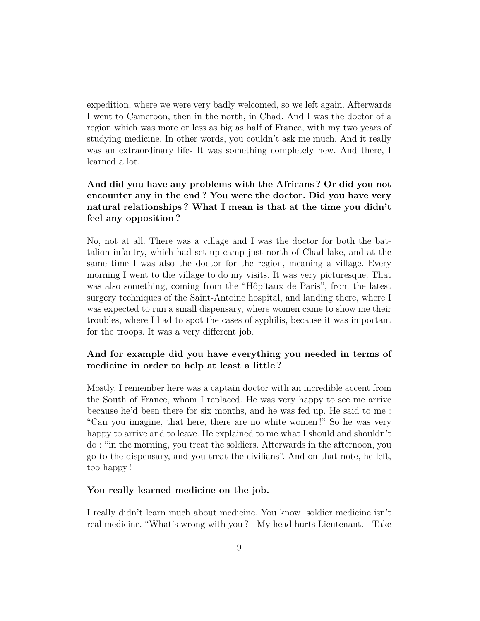expedition, where we were very badly welcomed, so we left again. Afterwards I went to Cameroon, then in the north, in Chad. And I was the doctor of a region which was more or less as big as half of France, with my two years of studying medicine. In other words, you couldn't ask me much. And it really was an extraordinary life- It was something completely new. And there, I learned a lot.

# **And did you have any problems with the Africans ? Or did you not encounter any in the end ? You were the doctor. Did you have very natural relationships ? What I mean is that at the time you didn't feel any opposition ?**

No, not at all. There was a village and I was the doctor for both the battalion infantry, which had set up camp just north of Chad lake, and at the same time I was also the doctor for the region, meaning a village. Every morning I went to the village to do my visits. It was very picturesque. That was also something, coming from the "Hôpitaux de Paris", from the latest surgery techniques of the Saint-Antoine hospital, and landing there, where I was expected to run a small dispensary, where women came to show me their troubles, where I had to spot the cases of syphilis, because it was important for the troops. It was a very different job.

# **And for example did you have everything you needed in terms of medicine in order to help at least a little ?**

Mostly. I remember here was a captain doctor with an incredible accent from the South of France, whom I replaced. He was very happy to see me arrive because he'd been there for six months, and he was fed up. He said to me : "Can you imagine, that here, there are no white women !" So he was very happy to arrive and to leave. He explained to me what I should and shouldn't do : "in the morning, you treat the soldiers. Afterwards in the afternoon, you go to the dispensary, and you treat the civilians". And on that note, he left, too happy !

### **You really learned medicine on the job.**

I really didn't learn much about medicine. You know, soldier medicine isn't real medicine. "What's wrong with you ? - My head hurts Lieutenant. - Take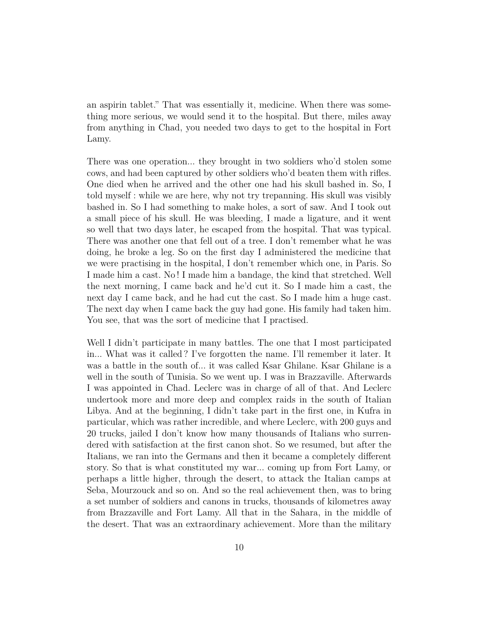an aspirin tablet." That was essentially it, medicine. When there was something more serious, we would send it to the hospital. But there, miles away from anything in Chad, you needed two days to get to the hospital in Fort Lamy.

There was one operation... they brought in two soldiers who'd stolen some cows, and had been captured by other soldiers who'd beaten them with rifles. One died when he arrived and the other one had his skull bashed in. So, I told myself : while we are here, why not try trepanning. His skull was visibly bashed in. So I had something to make holes, a sort of saw. And I took out a small piece of his skull. He was bleeding, I made a ligature, and it went so well that two days later, he escaped from the hospital. That was typical. There was another one that fell out of a tree. I don't remember what he was doing, he broke a leg. So on the first day I administered the medicine that we were practising in the hospital, I don't remember which one, in Paris. So I made him a cast. No ! I made him a bandage, the kind that stretched. Well the next morning, I came back and he'd cut it. So I made him a cast, the next day I came back, and he had cut the cast. So I made him a huge cast. The next day when I came back the guy had gone. His family had taken him. You see, that was the sort of medicine that I practised.

Well I didn't participate in many battles. The one that I most participated in... What was it called ? I've forgotten the name. I'll remember it later. It was a battle in the south of... it was called Ksar Ghilane. Ksar Ghilane is a well in the south of Tunisia. So we went up. I was in Brazzaville. Afterwards I was appointed in Chad. Leclerc was in charge of all of that. And Leclerc undertook more and more deep and complex raids in the south of Italian Libya. And at the beginning, I didn't take part in the first one, in Kufra in particular, which was rather incredible, and where Leclerc, with 200 guys and 20 trucks, jailed I don't know how many thousands of Italians who surrendered with satisfaction at the first canon shot. So we resumed, but after the Italians, we ran into the Germans and then it became a completely different story. So that is what constituted my war... coming up from Fort Lamy, or perhaps a little higher, through the desert, to attack the Italian camps at Seba, Mourzouck and so on. And so the real achievement then, was to bring a set number of soldiers and canons in trucks, thousands of kilometres away from Brazzaville and Fort Lamy. All that in the Sahara, in the middle of the desert. That was an extraordinary achievement. More than the military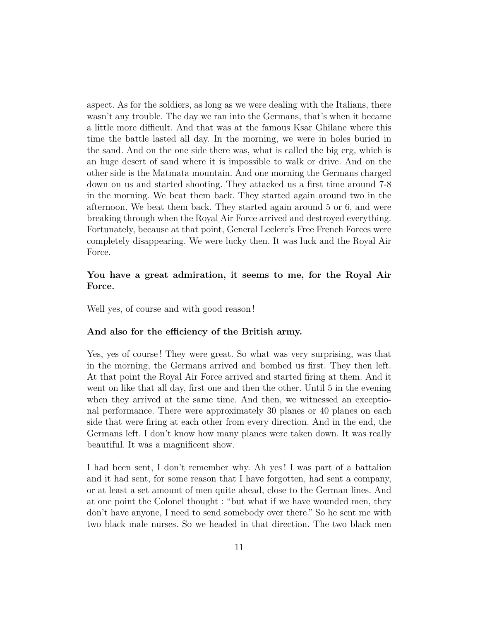aspect. As for the soldiers, as long as we were dealing with the Italians, there wasn't any trouble. The day we ran into the Germans, that's when it became a little more difficult. And that was at the famous Ksar Ghilane where this time the battle lasted all day. In the morning, we were in holes buried in the sand. And on the one side there was, what is called the big erg, which is an huge desert of sand where it is impossible to walk or drive. And on the other side is the Matmata mountain. And one morning the Germans charged down on us and started shooting. They attacked us a first time around 7-8 in the morning. We beat them back. They started again around two in the afternoon. We beat them back. They started again around 5 or 6, and were breaking through when the Royal Air Force arrived and destroyed everything. Fortunately, because at that point, General Leclerc's Free French Forces were completely disappearing. We were lucky then. It was luck and the Royal Air Force.

### **You have a great admiration, it seems to me, for the Royal Air Force.**

Well yes, of course and with good reason !

#### **And also for the efficiency of the British army.**

Yes, yes of course ! They were great. So what was very surprising, was that in the morning, the Germans arrived and bombed us first. They then left. At that point the Royal Air Force arrived and started firing at them. And it went on like that all day, first one and then the other. Until 5 in the evening when they arrived at the same time. And then, we witnessed an exceptional performance. There were approximately 30 planes or 40 planes on each side that were firing at each other from every direction. And in the end, the Germans left. I don't know how many planes were taken down. It was really beautiful. It was a magnificent show.

I had been sent, I don't remember why. Ah yes ! I was part of a battalion and it had sent, for some reason that I have forgotten, had sent a company, or at least a set amount of men quite ahead, close to the German lines. And at one point the Colonel thought : "but what if we have wounded men, they don't have anyone, I need to send somebody over there." So he sent me with two black male nurses. So we headed in that direction. The two black men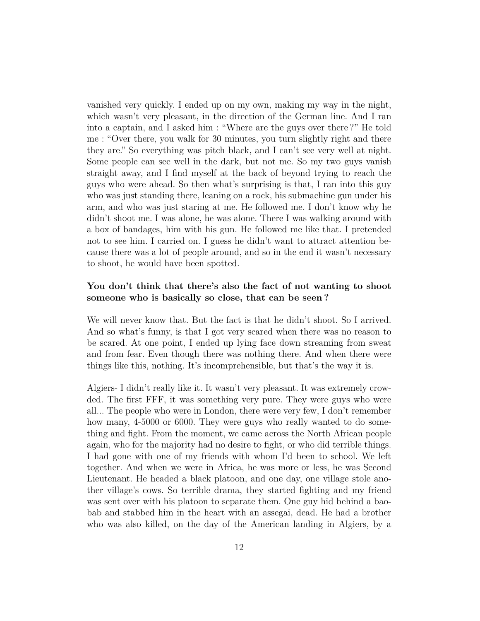vanished very quickly. I ended up on my own, making my way in the night, which wasn't very pleasant, in the direction of the German line. And I ran into a captain, and I asked him : "Where are the guys over there ?" He told me : "Over there, you walk for 30 minutes, you turn slightly right and there they are." So everything was pitch black, and I can't see very well at night. Some people can see well in the dark, but not me. So my two guys vanish straight away, and I find myself at the back of beyond trying to reach the guys who were ahead. So then what's surprising is that, I ran into this guy who was just standing there, leaning on a rock, his submachine gun under his arm, and who was just staring at me. He followed me. I don't know why he didn't shoot me. I was alone, he was alone. There I was walking around with a box of bandages, him with his gun. He followed me like that. I pretended not to see him. I carried on. I guess he didn't want to attract attention because there was a lot of people around, and so in the end it wasn't necessary to shoot, he would have been spotted.

## **You don't think that there's also the fact of not wanting to shoot someone who is basically so close, that can be seen ?**

We will never know that. But the fact is that he didn't shoot. So I arrived. And so what's funny, is that I got very scared when there was no reason to be scared. At one point, I ended up lying face down streaming from sweat and from fear. Even though there was nothing there. And when there were things like this, nothing. It's incomprehensible, but that's the way it is.

Algiers- I didn't really like it. It wasn't very pleasant. It was extremely crowded. The first FFF, it was something very pure. They were guys who were all... The people who were in London, there were very few, I don't remember how many,  $4-5000$  or 6000. They were guys who really wanted to do something and fight. From the moment, we came across the North African people again, who for the majority had no desire to fight, or who did terrible things. I had gone with one of my friends with whom I'd been to school. We left together. And when we were in Africa, he was more or less, he was Second Lieutenant. He headed a black platoon, and one day, one village stole another village's cows. So terrible drama, they started fighting and my friend was sent over with his platoon to separate them. One guy hid behind a baobab and stabbed him in the heart with an assegai, dead. He had a brother who was also killed, on the day of the American landing in Algiers, by a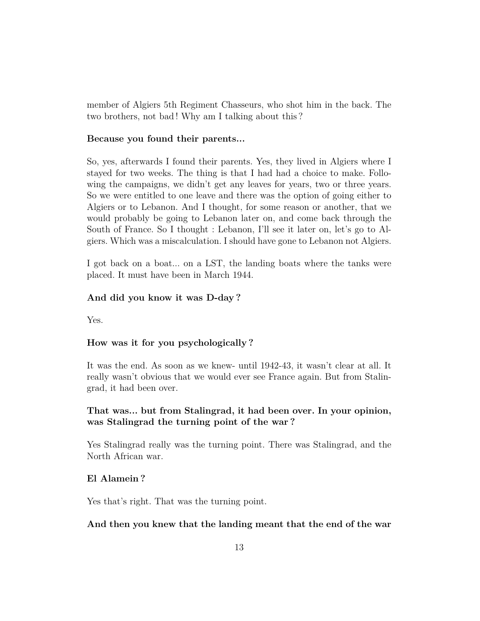member of Algiers 5th Regiment Chasseurs, who shot him in the back. The two brothers, not bad ! Why am I talking about this ?

#### **Because you found their parents...**

So, yes, afterwards I found their parents. Yes, they lived in Algiers where I stayed for two weeks. The thing is that I had had a choice to make. Following the campaigns, we didn't get any leaves for years, two or three years. So we were entitled to one leave and there was the option of going either to Algiers or to Lebanon. And I thought, for some reason or another, that we would probably be going to Lebanon later on, and come back through the South of France. So I thought : Lebanon, I'll see it later on, let's go to Algiers. Which was a miscalculation. I should have gone to Lebanon not Algiers.

I got back on a boat... on a LST, the landing boats where the tanks were placed. It must have been in March 1944.

#### **And did you know it was D-day ?**

Yes.

#### **How was it for you psychologically ?**

It was the end. As soon as we knew- until 1942-43, it wasn't clear at all. It really wasn't obvious that we would ever see France again. But from Stalingrad, it had been over.

### **That was... but from Stalingrad, it had been over. In your opinion, was Stalingrad the turning point of the war ?**

Yes Stalingrad really was the turning point. There was Stalingrad, and the North African war.

#### **El Alamein ?**

Yes that's right. That was the turning point.

#### **And then you knew that the landing meant that the end of the war**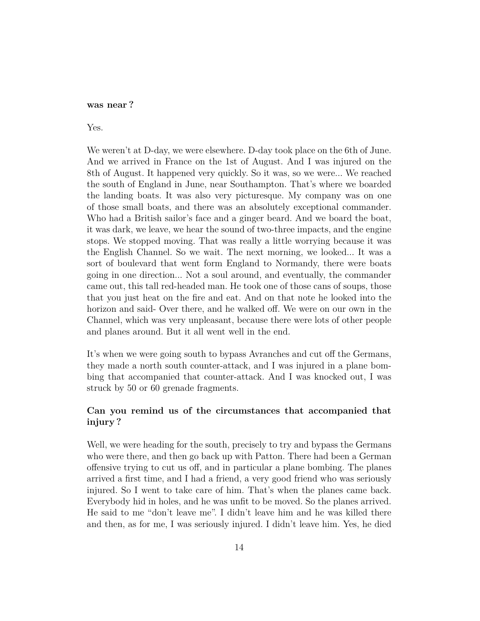#### **was near ?**

#### Yes.

We weren't at D-day, we were elsewhere. D-day took place on the 6th of June. And we arrived in France on the 1st of August. And I was injured on the 8th of August. It happened very quickly. So it was, so we were... We reached the south of England in June, near Southampton. That's where we boarded the landing boats. It was also very picturesque. My company was on one of those small boats, and there was an absolutely exceptional commander. Who had a British sailor's face and a ginger beard. And we board the boat, it was dark, we leave, we hear the sound of two-three impacts, and the engine stops. We stopped moving. That was really a little worrying because it was the English Channel. So we wait. The next morning, we looked... It was a sort of boulevard that went form England to Normandy, there were boats going in one direction... Not a soul around, and eventually, the commander came out, this tall red-headed man. He took one of those cans of soups, those that you just heat on the fire and eat. And on that note he looked into the horizon and said- Over there, and he walked off. We were on our own in the Channel, which was very unpleasant, because there were lots of other people and planes around. But it all went well in the end.

It's when we were going south to bypass Avranches and cut off the Germans, they made a north south counter-attack, and I was injured in a plane bombing that accompanied that counter-attack. And I was knocked out, I was struck by 50 or 60 grenade fragments.

## **Can you remind us of the circumstances that accompanied that injury ?**

Well, we were heading for the south, precisely to try and bypass the Germans who were there, and then go back up with Patton. There had been a German offensive trying to cut us off, and in particular a plane bombing. The planes arrived a first time, and I had a friend, a very good friend who was seriously injured. So I went to take care of him. That's when the planes came back. Everybody hid in holes, and he was unfit to be moved. So the planes arrived. He said to me "don't leave me". I didn't leave him and he was killed there and then, as for me, I was seriously injured. I didn't leave him. Yes, he died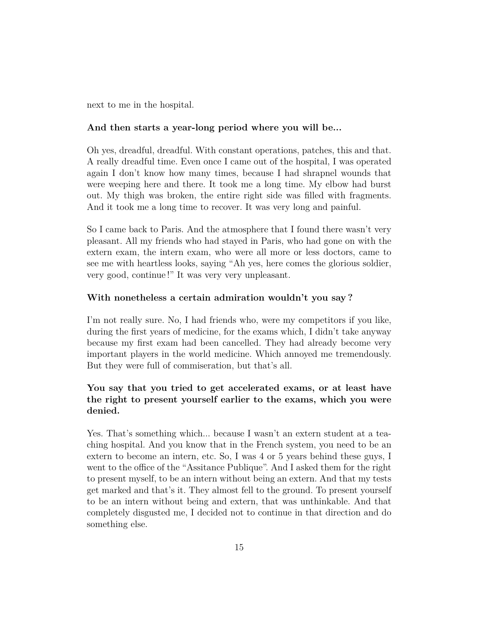next to me in the hospital.

### **And then starts a year-long period where you will be...**

Oh yes, dreadful, dreadful. With constant operations, patches, this and that. A really dreadful time. Even once I came out of the hospital, I was operated again I don't know how many times, because I had shrapnel wounds that were weeping here and there. It took me a long time. My elbow had burst out. My thigh was broken, the entire right side was filled with fragments. And it took me a long time to recover. It was very long and painful.

So I came back to Paris. And the atmosphere that I found there wasn't very pleasant. All my friends who had stayed in Paris, who had gone on with the extern exam, the intern exam, who were all more or less doctors, came to see me with heartless looks, saying "Ah yes, here comes the glorious soldier, very good, continue !" It was very very unpleasant.

### **With nonetheless a certain admiration wouldn't you say ?**

I'm not really sure. No, I had friends who, were my competitors if you like, during the first years of medicine, for the exams which, I didn't take anyway because my first exam had been cancelled. They had already become very important players in the world medicine. Which annoyed me tremendously. But they were full of commiseration, but that's all.

# **You say that you tried to get accelerated exams, or at least have the right to present yourself earlier to the exams, which you were denied.**

Yes. That's something which... because I wasn't an extern student at a teaching hospital. And you know that in the French system, you need to be an extern to become an intern, etc. So, I was 4 or 5 years behind these guys, I went to the office of the "Assitance Publique". And I asked them for the right to present myself, to be an intern without being an extern. And that my tests get marked and that's it. They almost fell to the ground. To present yourself to be an intern without being and extern, that was unthinkable. And that completely disgusted me, I decided not to continue in that direction and do something else.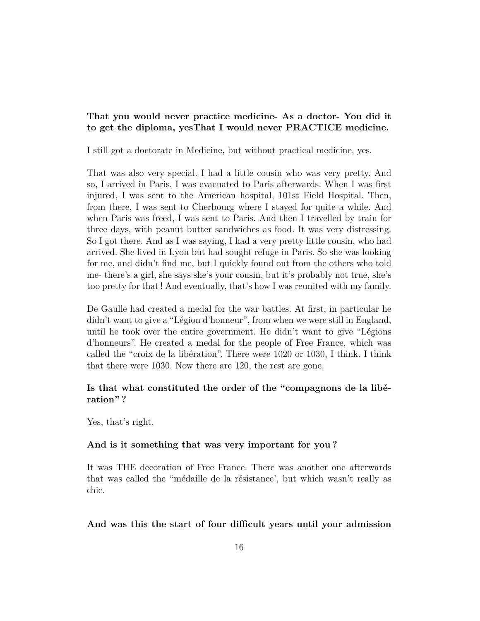### **That you would never practice medicine- As a doctor- You did it to get the diploma, yesThat I would never PRACTICE medicine.**

I still got a doctorate in Medicine, but without practical medicine, yes.

That was also very special. I had a little cousin who was very pretty. And so, I arrived in Paris. I was evacuated to Paris afterwards. When I was first injured, I was sent to the American hospital, 101st Field Hospital. Then, from there, I was sent to Cherbourg where I stayed for quite a while. And when Paris was freed, I was sent to Paris. And then I travelled by train for three days, with peanut butter sandwiches as food. It was very distressing. So I got there. And as I was saying, I had a very pretty little cousin, who had arrived. She lived in Lyon but had sought refuge in Paris. So she was looking for me, and didn't find me, but I quickly found out from the others who told me- there's a girl, she says she's your cousin, but it's probably not true, she's too pretty for that ! And eventually, that's how I was reunited with my family.

De Gaulle had created a medal for the war battles. At first, in particular he didn't want to give a "Légion d'honneur", from when we were still in England, until he took over the entire government. He didn't want to give "Légions d'honneurs". He created a medal for the people of Free France, which was called the "croix de la libération". There were 1020 or 1030, I think. I think that there were 1030. Now there are 120, the rest are gone.

### **Is that what constituted the order of the "compagnons de la libération" ?**

Yes, that's right.

#### **And is it something that was very important for you ?**

It was THE decoration of Free France. There was another one afterwards that was called the "médaille de la résistance', but which wasn't really as chic.

#### **And was this the start of four difficult years until your admission**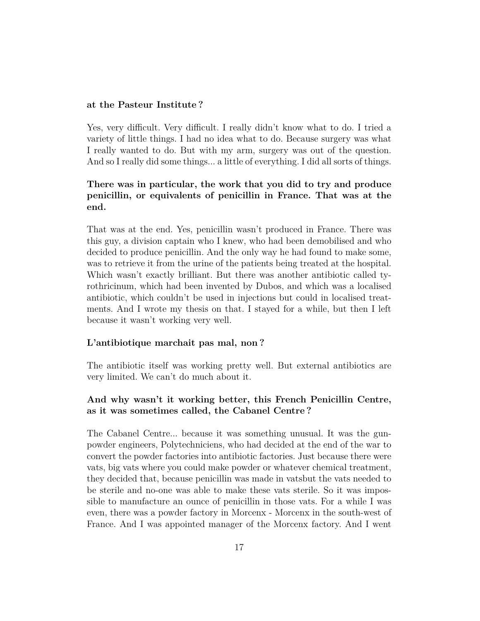#### **at the Pasteur Institute ?**

Yes, very difficult. Very difficult. I really didn't know what to do. I tried a variety of little things. I had no idea what to do. Because surgery was what I really wanted to do. But with my arm, surgery was out of the question. And so I really did some things... a little of everything. I did all sorts of things.

# **There was in particular, the work that you did to try and produce penicillin, or equivalents of penicillin in France. That was at the end.**

That was at the end. Yes, penicillin wasn't produced in France. There was this guy, a division captain who I knew, who had been demobilised and who decided to produce penicillin. And the only way he had found to make some, was to retrieve it from the urine of the patients being treated at the hospital. Which wasn't exactly brilliant. But there was another antibiotic called tyrothricinum, which had been invented by Dubos, and which was a localised antibiotic, which couldn't be used in injections but could in localised treatments. And I wrote my thesis on that. I stayed for a while, but then I left because it wasn't working very well.

### **L'antibiotique marchait pas mal, non ?**

The antibiotic itself was working pretty well. But external antibiotics are very limited. We can't do much about it.

## **And why wasn't it working better, this French Penicillin Centre, as it was sometimes called, the Cabanel Centre ?**

The Cabanel Centre... because it was something unusual. It was the gunpowder engineers, Polytechniciens, who had decided at the end of the war to convert the powder factories into antibiotic factories. Just because there were vats, big vats where you could make powder or whatever chemical treatment, they decided that, because penicillin was made in vatsbut the vats needed to be sterile and no-one was able to make these vats sterile. So it was impossible to manufacture an ounce of penicillin in those vats. For a while I was even, there was a powder factory in Morcenx - Morcenx in the south-west of France. And I was appointed manager of the Morcenx factory. And I went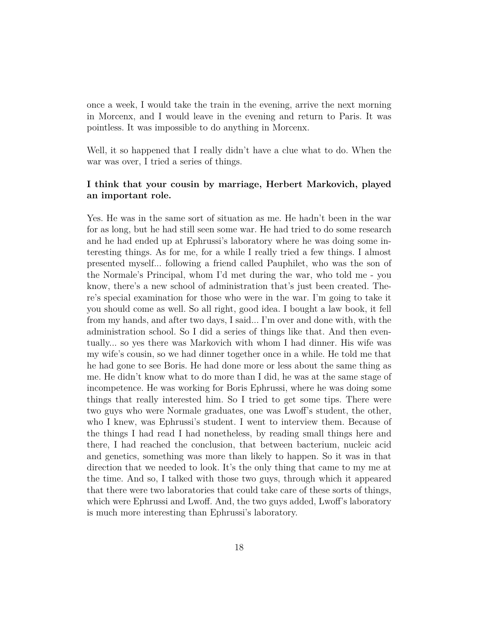once a week, I would take the train in the evening, arrive the next morning in Morcenx, and I would leave in the evening and return to Paris. It was pointless. It was impossible to do anything in Morcenx.

Well, it so happened that I really didn't have a clue what to do. When the war was over, I tried a series of things.

## **I think that your cousin by marriage, Herbert Markovich, played an important role.**

Yes. He was in the same sort of situation as me. He hadn't been in the war for as long, but he had still seen some war. He had tried to do some research and he had ended up at Ephrussi's laboratory where he was doing some interesting things. As for me, for a while I really tried a few things. I almost presented myself... following a friend called Pauphilet, who was the son of the Normale's Principal, whom I'd met during the war, who told me - you know, there's a new school of administration that's just been created. There's special examination for those who were in the war. I'm going to take it you should come as well. So all right, good idea. I bought a law book, it fell from my hands, and after two days, I said... I'm over and done with, with the administration school. So I did a series of things like that. And then eventually... so yes there was Markovich with whom I had dinner. His wife was my wife's cousin, so we had dinner together once in a while. He told me that he had gone to see Boris. He had done more or less about the same thing as me. He didn't know what to do more than I did, he was at the same stage of incompetence. He was working for Boris Ephrussi, where he was doing some things that really interested him. So I tried to get some tips. There were two guys who were Normale graduates, one was Lwoff's student, the other, who I knew, was Ephrussi's student. I went to interview them. Because of the things I had read I had nonetheless, by reading small things here and there, I had reached the conclusion, that between bacterium, nucleic acid and genetics, something was more than likely to happen. So it was in that direction that we needed to look. It's the only thing that came to my me at the time. And so, I talked with those two guys, through which it appeared that there were two laboratories that could take care of these sorts of things, which were Ephrussi and Lwoff. And, the two guys added, Lwoff's laboratory is much more interesting than Ephrussi's laboratory.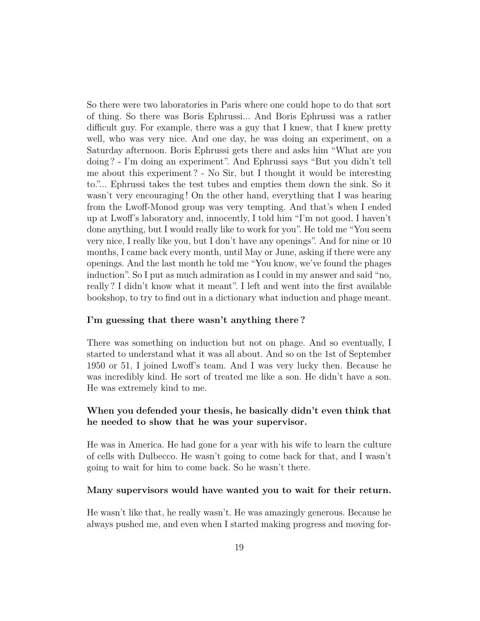So there were two laboratories in Paris where one could hope to do that sort of thing. So there was Boris Ephrussi... And Boris Ephrussi was a rather difficult guy. For example, there was a guy that I knew, that I knew pretty well, who was very nice. And one day, he was doing an experiment, on a Saturday afternoon. Boris Ephrussi gets there and asks him "What are you doing ? - I'm doing an experiment". And Ephrussi says "But you didn't tell me about this experiment ? - No Sir, but I thought it would be interesting to."... Ephrussi takes the test tubes and empties them down the sink. So it wasn't very encouraging ! On the other hand, everything that I was hearing from the Lwoff-Monod group was very tempting. And that's when I ended up at Lwoff's laboratory and, innocently, I told him "I'm not good, I haven't done anything, but I would really like to work for you". He told me "You seem very nice, I really like you, but I don't have any openings". And for nine or 10 months, I came back every month, until May or June, asking if there were any openings. And the last month he told me "You know, we've found the phages induction". So I put as much admiration as I could in my answer and said "no, really ? I didn't know what it meant". I left and went into the first available bookshop, to try to find out in a dictionary what induction and phage meant.

#### **I'm guessing that there wasn't anything there ?**

There was something on induction but not on phage. And so eventually, I started to understand what it was all about. And so on the 1st of September 1950 or 51, I joined Lwoff's team. And I was very lucky then. Because he was incredibly kind. He sort of treated me like a son. He didn't have a son. He was extremely kind to me.

### **When you defended your thesis, he basically didn't even think that he needed to show that he was your supervisor.**

He was in America. He had gone for a year with his wife to learn the culture of cells with Dulbecco. He wasn't going to come back for that, and I wasn't going to wait for him to come back. So he wasn't there.

#### **Many supervisors would have wanted you to wait for their return.**

He wasn't like that, he really wasn't. He was amazingly generous. Because he always pushed me, and even when I started making progress and moving for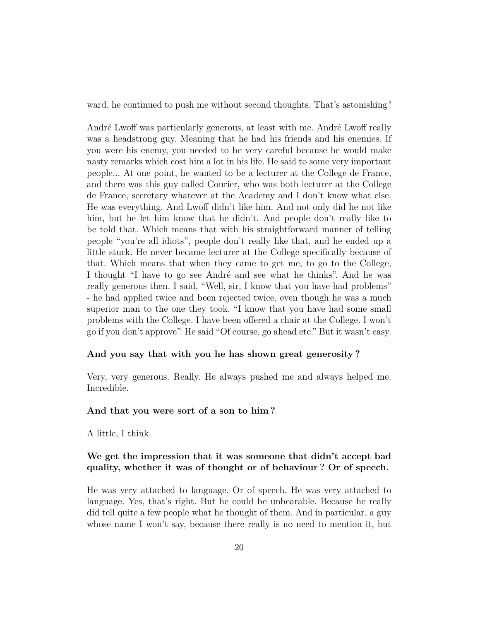ward, he continued to push me without second thoughts. That's astonishing !

André Lwoff was particularly generous, at least with me. André Lwoff really was a headstrong guy. Meaning that he had his friends and his enemies. If you were his enemy, you needed to be very careful because he would make nasty remarks which cost him a lot in his life. He said to some very important people... At one point, he wanted to be a lecturer at the College de France, and there was this guy called Courier, who was both lecturer at the College de France, secretary whatever at the Academy and I don't know what else. He was everything. And Lwoff didn't like him. And not only did he not like him, but he let him know that he didn't. And people don't really like to be told that. Which means that with his straightforward manner of telling people "you're all idiots", people don't really like that, and he ended up a little stuck. He never became lecturer at the College specifically because of that. Which means that when they came to get me, to go to the College, I thought "I have to go see André and see what he thinks". And he was really generous then. I said, "Well, sir, I know that you have had problems" - he had applied twice and been rejected twice, even though he was a much superior man to the one they took. "I know that you have had some small problems with the College. I have been offered a chair at the College. I won't go if you don't approve". He said "Of course, go ahead etc." But it wasn't easy.

#### **And you say that with you he has shown great generosity ?**

Very, very generous. Really. He always pushed me and always helped me. Incredible.

#### **And that you were sort of a son to him ?**

A little, I think.

### **We get the impression that it was someone that didn't accept bad quality, whether it was of thought or of behaviour ? Or of speech.**

He was very attached to language. Or of speech. He was very attached to language. Yes, that's right. But he could be unbearable. Because he really did tell quite a few people what he thought of them. And in particular, a guy whose name I won't say, because there really is no need to mention it, but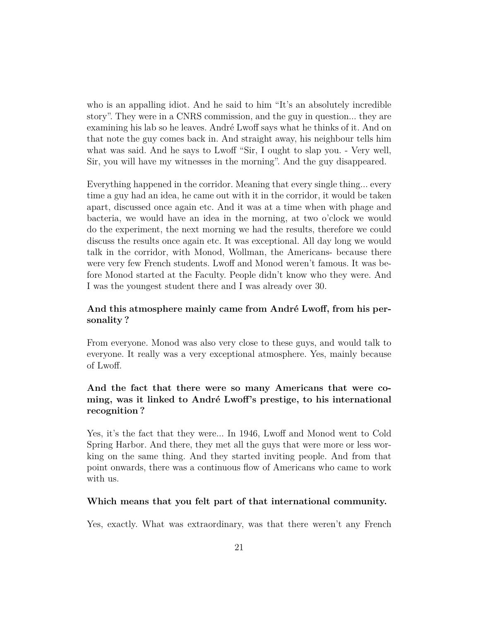who is an appalling idiot. And he said to him "It's an absolutely incredible story". They were in a CNRS commission, and the guy in question... they are examining his lab so he leaves. André Lwoff says what he thinks of it. And on that note the guy comes back in. And straight away, his neighbour tells him what was said. And he says to Lwoff "Sir, I ought to slap you. - Very well, Sir, you will have my witnesses in the morning". And the guy disappeared.

Everything happened in the corridor. Meaning that every single thing... every time a guy had an idea, he came out with it in the corridor, it would be taken apart, discussed once again etc. And it was at a time when with phage and bacteria, we would have an idea in the morning, at two o'clock we would do the experiment, the next morning we had the results, therefore we could discuss the results once again etc. It was exceptional. All day long we would talk in the corridor, with Monod, Wollman, the Americans- because there were very few French students. Lwoff and Monod weren't famous. It was before Monod started at the Faculty. People didn't know who they were. And I was the youngest student there and I was already over 30.

## **And this atmosphere mainly came from André Lwoff, from his personality ?**

From everyone. Monod was also very close to these guys, and would talk to everyone. It really was a very exceptional atmosphere. Yes, mainly because of Lwoff.

# **And the fact that there were so many Americans that were coming, was it linked to André Lwoff's prestige, to his international recognition ?**

Yes, it's the fact that they were... In 1946, Lwoff and Monod went to Cold Spring Harbor. And there, they met all the guys that were more or less working on the same thing. And they started inviting people. And from that point onwards, there was a continuous flow of Americans who came to work with us.

#### **Which means that you felt part of that international community.**

Yes, exactly. What was extraordinary, was that there weren't any French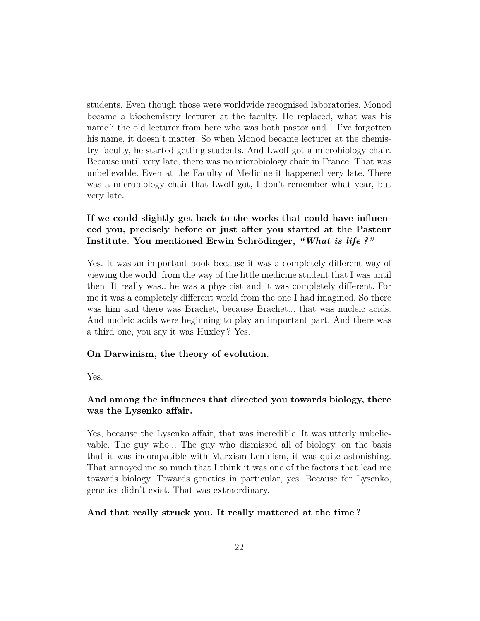students. Even though those were worldwide recognised laboratories. Monod became a biochemistry lecturer at the faculty. He replaced, what was his name ? the old lecturer from here who was both pastor and... I've forgotten his name, it doesn't matter. So when Monod became lecturer at the chemistry faculty, he started getting students. And Lwoff got a microbiology chair. Because until very late, there was no microbiology chair in France. That was unbelievable. Even at the Faculty of Medicine it happened very late. There was a microbiology chair that Lwoff got, I don't remember what year, but very late.

# **If we could slightly get back to the works that could have influenced you, precisely before or just after you started at the Pasteur Institute. You mentioned Erwin Schrödinger,** *"What is life ?"*

Yes. It was an important book because it was a completely different way of viewing the world, from the way of the little medicine student that I was until then. It really was.. he was a physicist and it was completely different. For me it was a completely different world from the one I had imagined. So there was him and there was Brachet, because Brachet... that was nucleic acids. And nucleic acids were beginning to play an important part. And there was a third one, you say it was Huxley ? Yes.

### **On Darwinism, the theory of evolution.**

Yes.

# **And among the influences that directed you towards biology, there was the Lysenko affair.**

Yes, because the Lysenko affair, that was incredible. It was utterly unbelievable. The guy who... The guy who dismissed all of biology, on the basis that it was incompatible with Marxism-Leninism, it was quite astonishing. That annoyed me so much that I think it was one of the factors that lead me towards biology. Towards genetics in particular, yes. Because for Lysenko, genetics didn't exist. That was extraordinary.

### **And that really struck you. It really mattered at the time ?**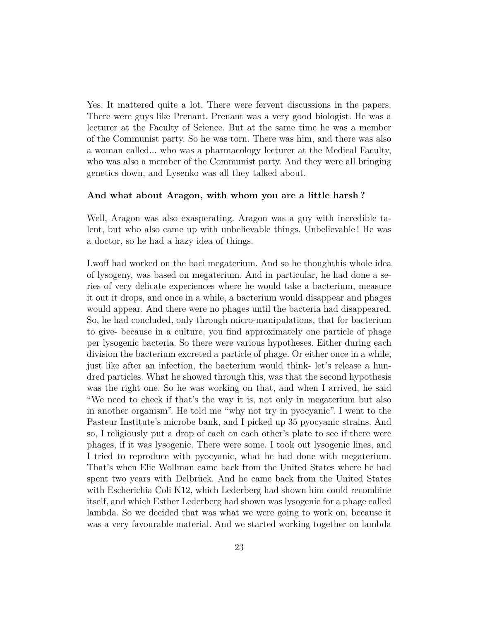Yes. It mattered quite a lot. There were fervent discussions in the papers. There were guys like Prenant. Prenant was a very good biologist. He was a lecturer at the Faculty of Science. But at the same time he was a member of the Communist party. So he was torn. There was him, and there was also a woman called... who was a pharmacology lecturer at the Medical Faculty, who was also a member of the Communist party. And they were all bringing genetics down, and Lysenko was all they talked about.

#### **And what about Aragon, with whom you are a little harsh ?**

Well, Aragon was also exasperating. Aragon was a guy with incredible talent, but who also came up with unbelievable things. Unbelievable ! He was a doctor, so he had a hazy idea of things.

Lwoff had worked on the baci megaterium. And so he thoughthis whole idea of lysogeny, was based on megaterium. And in particular, he had done a series of very delicate experiences where he would take a bacterium, measure it out it drops, and once in a while, a bacterium would disappear and phages would appear. And there were no phages until the bacteria had disappeared. So, he had concluded, only through micro-manipulations, that for bacterium to give- because in a culture, you find approximately one particle of phage per lysogenic bacteria. So there were various hypotheses. Either during each division the bacterium excreted a particle of phage. Or either once in a while, just like after an infection, the bacterium would think- let's release a hundred particles. What he showed through this, was that the second hypothesis was the right one. So he was working on that, and when I arrived, he said "We need to check if that's the way it is, not only in megaterium but also in another organism". He told me "why not try in pyocyanic". I went to the Pasteur Institute's microbe bank, and I picked up 35 pyocyanic strains. And so, I religiously put a drop of each on each other's plate to see if there were phages, if it was lysogenic. There were some. I took out lysogenic lines, and I tried to reproduce with pyocyanic, what he had done with megaterium. That's when Elie Wollman came back from the United States where he had spent two years with Delbrück. And he came back from the United States with Escherichia Coli K12, which Lederberg had shown him could recombine itself, and which Esther Lederberg had shown was lysogenic for a phage called lambda. So we decided that was what we were going to work on, because it was a very favourable material. And we started working together on lambda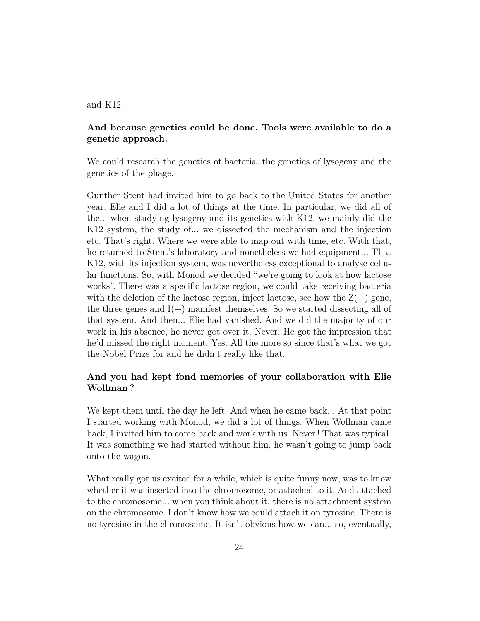#### and K12.

### **And because genetics could be done. Tools were available to do a genetic approach.**

We could research the genetics of bacteria, the genetics of lysogeny and the genetics of the phage.

Gunther Stent had invited him to go back to the United States for another year. Elie and I did a lot of things at the time. In particular, we did all of the... when studying lysogeny and its genetics with K12, we mainly did the K12 system, the study of... we dissected the mechanism and the injection etc. That's right. Where we were able to map out with time, etc. With that, he returned to Stent's laboratory and nonetheless we had equipment... That K12, with its injection system, was nevertheless exceptional to analyse cellular functions. So, with Monod we decided "we're going to look at how lactose works". There was a specific lactose region, we could take receiving bacteria with the deletion of the lactose region, inject lactose, see how the  $Z(+)$  gene, the three genes and  $I(+)$  manifest themselves. So we started dissecting all of that system. And then... Elie had vanished. And we did the majority of our work in his absence, he never got over it. Never. He got the impression that he'd missed the right moment. Yes. All the more so since that's what we got the Nobel Prize for and he didn't really like that.

## **And you had kept fond memories of your collaboration with Elie Wollman ?**

We kept them until the day he left. And when he came back... At that point I started working with Monod, we did a lot of things. When Wollman came back, I invited him to come back and work with us. Never ! That was typical. It was something we had started without him, he wasn't going to jump back onto the wagon.

What really got us excited for a while, which is quite funny now, was to know whether it was inserted into the chromosome, or attached to it. And attached to the chromosome... when you think about it, there is no attachment system on the chromosome. I don't know how we could attach it on tyrosine. There is no tyrosine in the chromosome. It isn't obvious how we can... so, eventually,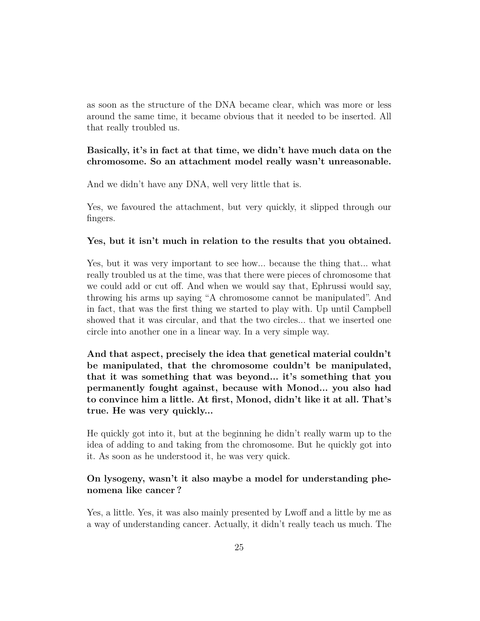as soon as the structure of the DNA became clear, which was more or less around the same time, it became obvious that it needed to be inserted. All that really troubled us.

### **Basically, it's in fact at that time, we didn't have much data on the chromosome. So an attachment model really wasn't unreasonable.**

And we didn't have any DNA, well very little that is.

Yes, we favoured the attachment, but very quickly, it slipped through our fingers.

#### **Yes, but it isn't much in relation to the results that you obtained.**

Yes, but it was very important to see how... because the thing that... what really troubled us at the time, was that there were pieces of chromosome that we could add or cut off. And when we would say that, Ephrussi would say, throwing his arms up saying "A chromosome cannot be manipulated". And in fact, that was the first thing we started to play with. Up until Campbell showed that it was circular, and that the two circles... that we inserted one circle into another one in a linear way. In a very simple way.

**And that aspect, precisely the idea that genetical material couldn't be manipulated, that the chromosome couldn't be manipulated, that it was something that was beyond... it's something that you permanently fought against, because with Monod... you also had to convince him a little. At first, Monod, didn't like it at all. That's true. He was very quickly...**

He quickly got into it, but at the beginning he didn't really warm up to the idea of adding to and taking from the chromosome. But he quickly got into it. As soon as he understood it, he was very quick.

## **On lysogeny, wasn't it also maybe a model for understanding phenomena like cancer ?**

Yes, a little. Yes, it was also mainly presented by Lwoff and a little by me as a way of understanding cancer. Actually, it didn't really teach us much. The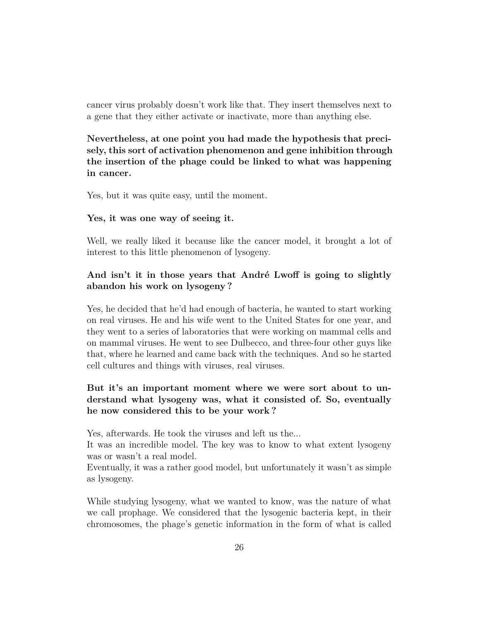cancer virus probably doesn't work like that. They insert themselves next to a gene that they either activate or inactivate, more than anything else.

**Nevertheless, at one point you had made the hypothesis that precisely, this sort of activation phenomenon and gene inhibition through the insertion of the phage could be linked to what was happening in cancer.**

Yes, but it was quite easy, until the moment.

#### **Yes, it was one way of seeing it.**

Well, we really liked it because like the cancer model, it brought a lot of interest to this little phenomenon of lysogeny.

# **And isn't it in those years that André Lwoff is going to slightly abandon his work on lysogeny ?**

Yes, he decided that he'd had enough of bacteria, he wanted to start working on real viruses. He and his wife went to the United States for one year, and they went to a series of laboratories that were working on mammal cells and on mammal viruses. He went to see Dulbecco, and three-four other guys like that, where he learned and came back with the techniques. And so he started cell cultures and things with viruses, real viruses.

# **But it's an important moment where we were sort about to understand what lysogeny was, what it consisted of. So, eventually he now considered this to be your work ?**

Yes, afterwards. He took the viruses and left us the...

It was an incredible model. The key was to know to what extent lysogeny was or wasn't a real model.

Eventually, it was a rather good model, but unfortunately it wasn't as simple as lysogeny.

While studying lysogeny, what we wanted to know, was the nature of what we call prophage. We considered that the lysogenic bacteria kept, in their chromosomes, the phage's genetic information in the form of what is called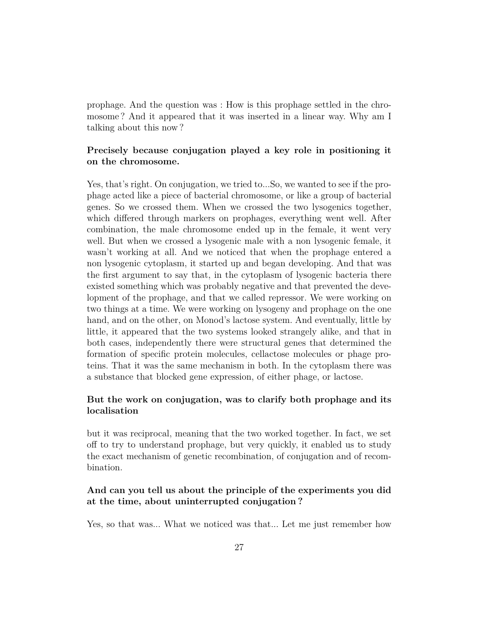prophage. And the question was : How is this prophage settled in the chromosome ? And it appeared that it was inserted in a linear way. Why am I talking about this now ?

### **Precisely because conjugation played a key role in positioning it on the chromosome.**

Yes, that's right. On conjugation, we tried to...So, we wanted to see if the prophage acted like a piece of bacterial chromosome, or like a group of bacterial genes. So we crossed them. When we crossed the two lysogenics together, which differed through markers on prophages, everything went well. After combination, the male chromosome ended up in the female, it went very well. But when we crossed a lysogenic male with a non lysogenic female, it wasn't working at all. And we noticed that when the prophage entered a non lysogenic cytoplasm, it started up and began developing. And that was the first argument to say that, in the cytoplasm of lysogenic bacteria there existed something which was probably negative and that prevented the development of the prophage, and that we called repressor. We were working on two things at a time. We were working on lysogeny and prophage on the one hand, and on the other, on Monod's lactose system. And eventually, little by little, it appeared that the two systems looked strangely alike, and that in both cases, independently there were structural genes that determined the formation of specific protein molecules, cellactose molecules or phage proteins. That it was the same mechanism in both. In the cytoplasm there was a substance that blocked gene expression, of either phage, or lactose.

## **But the work on conjugation, was to clarify both prophage and its localisation**

but it was reciprocal, meaning that the two worked together. In fact, we set off to try to understand prophage, but very quickly, it enabled us to study the exact mechanism of genetic recombination, of conjugation and of recombination.

## **And can you tell us about the principle of the experiments you did at the time, about uninterrupted conjugation ?**

Yes, so that was... What we noticed was that... Let me just remember how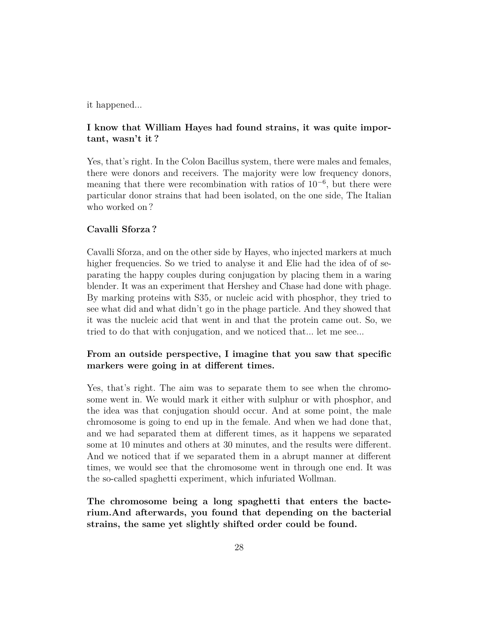it happened...

## **I know that William Hayes had found strains, it was quite important, wasn't it ?**

Yes, that's right. In the Colon Bacillus system, there were males and females, there were donors and receivers. The majority were low frequency donors, meaning that there were recombination with ratios of  $10^{-6}$ , but there were particular donor strains that had been isolated, on the one side, The Italian who worked on?

### **Cavalli Sforza ?**

Cavalli Sforza, and on the other side by Hayes, who injected markers at much higher frequencies. So we tried to analyse it and Elie had the idea of of separating the happy couples during conjugation by placing them in a waring blender. It was an experiment that Hershey and Chase had done with phage. By marking proteins with S35, or nucleic acid with phosphor, they tried to see what did and what didn't go in the phage particle. And they showed that it was the nucleic acid that went in and that the protein came out. So, we tried to do that with conjugation, and we noticed that... let me see...

# **From an outside perspective, I imagine that you saw that specific markers were going in at different times.**

Yes, that's right. The aim was to separate them to see when the chromosome went in. We would mark it either with sulphur or with phosphor, and the idea was that conjugation should occur. And at some point, the male chromosome is going to end up in the female. And when we had done that, and we had separated them at different times, as it happens we separated some at 10 minutes and others at 30 minutes, and the results were different. And we noticed that if we separated them in a abrupt manner at different times, we would see that the chromosome went in through one end. It was the so-called spaghetti experiment, which infuriated Wollman.

**The chromosome being a long spaghetti that enters the bacterium.And afterwards, you found that depending on the bacterial strains, the same yet slightly shifted order could be found.**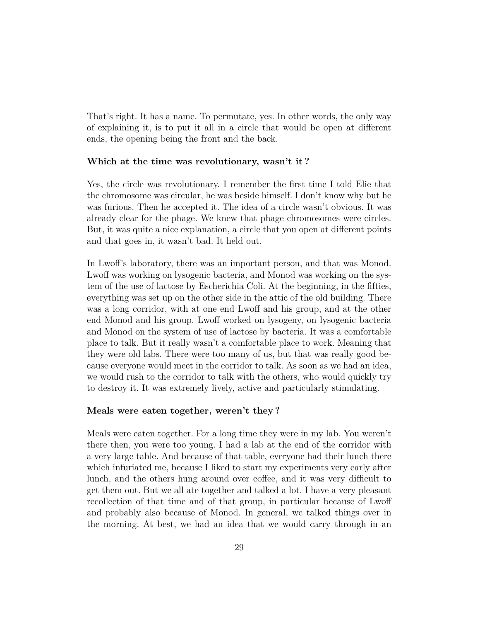That's right. It has a name. To permutate, yes. In other words, the only way of explaining it, is to put it all in a circle that would be open at different ends, the opening being the front and the back.

#### **Which at the time was revolutionary, wasn't it ?**

Yes, the circle was revolutionary. I remember the first time I told Elie that the chromosome was circular, he was beside himself. I don't know why but he was furious. Then he accepted it. The idea of a circle wasn't obvious. It was already clear for the phage. We knew that phage chromosomes were circles. But, it was quite a nice explanation, a circle that you open at different points and that goes in, it wasn't bad. It held out.

In Lwoff's laboratory, there was an important person, and that was Monod. Lwoff was working on lysogenic bacteria, and Monod was working on the system of the use of lactose by Escherichia Coli. At the beginning, in the fifties, everything was set up on the other side in the attic of the old building. There was a long corridor, with at one end Lwoff and his group, and at the other end Monod and his group. Lwoff worked on lysogeny, on lysogenic bacteria and Monod on the system of use of lactose by bacteria. It was a comfortable place to talk. But it really wasn't a comfortable place to work. Meaning that they were old labs. There were too many of us, but that was really good because everyone would meet in the corridor to talk. As soon as we had an idea, we would rush to the corridor to talk with the others, who would quickly try to destroy it. It was extremely lively, active and particularly stimulating.

#### **Meals were eaten together, weren't they ?**

Meals were eaten together. For a long time they were in my lab. You weren't there then, you were too young. I had a lab at the end of the corridor with a very large table. And because of that table, everyone had their lunch there which infuriated me, because I liked to start my experiments very early after lunch, and the others hung around over coffee, and it was very difficult to get them out. But we all ate together and talked a lot. I have a very pleasant recollection of that time and of that group, in particular because of Lwoff and probably also because of Monod. In general, we talked things over in the morning. At best, we had an idea that we would carry through in an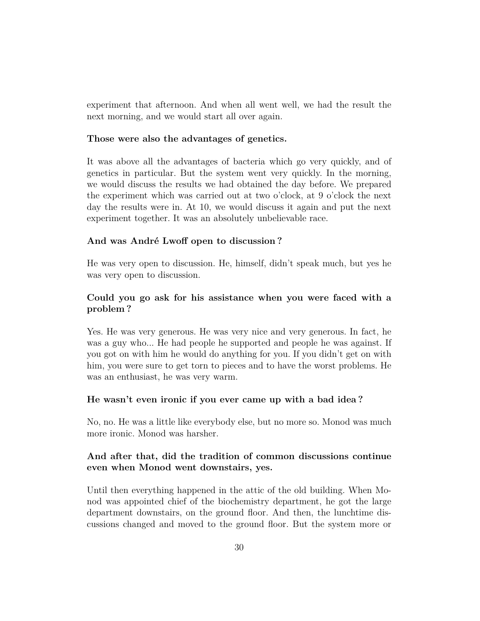experiment that afternoon. And when all went well, we had the result the next morning, and we would start all over again.

#### **Those were also the advantages of genetics.**

It was above all the advantages of bacteria which go very quickly, and of genetics in particular. But the system went very quickly. In the morning, we would discuss the results we had obtained the day before. We prepared the experiment which was carried out at two o'clock, at 9 o'clock the next day the results were in. At 10, we would discuss it again and put the next experiment together. It was an absolutely unbelievable race.

### **And was André Lwoff open to discussion ?**

He was very open to discussion. He, himself, didn't speak much, but yes he was very open to discussion.

## **Could you go ask for his assistance when you were faced with a problem ?**

Yes. He was very generous. He was very nice and very generous. In fact, he was a guy who... He had people he supported and people he was against. If you got on with him he would do anything for you. If you didn't get on with him, you were sure to get torn to pieces and to have the worst problems. He was an enthusiast, he was very warm.

#### **He wasn't even ironic if you ever came up with a bad idea ?**

No, no. He was a little like everybody else, but no more so. Monod was much more ironic. Monod was harsher.

### **And after that, did the tradition of common discussions continue even when Monod went downstairs, yes.**

Until then everything happened in the attic of the old building. When Monod was appointed chief of the biochemistry department, he got the large department downstairs, on the ground floor. And then, the lunchtime discussions changed and moved to the ground floor. But the system more or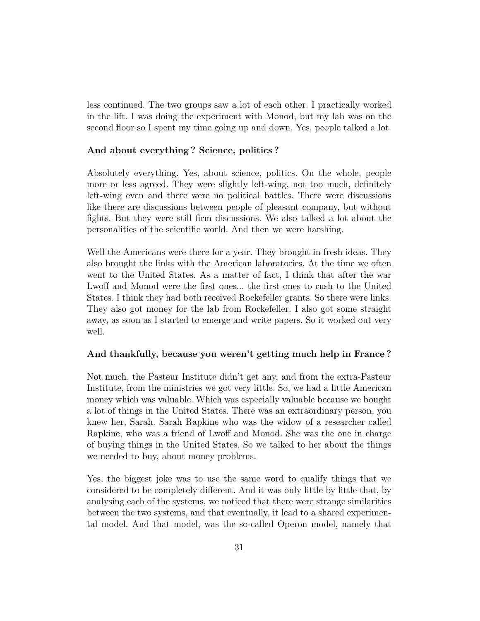less continued. The two groups saw a lot of each other. I practically worked in the lift. I was doing the experiment with Monod, but my lab was on the second floor so I spent my time going up and down. Yes, people talked a lot.

#### **And about everything ? Science, politics ?**

Absolutely everything. Yes, about science, politics. On the whole, people more or less agreed. They were slightly left-wing, not too much, definitely left-wing even and there were no political battles. There were discussions like there are discussions between people of pleasant company, but without fights. But they were still firm discussions. We also talked a lot about the personalities of the scientific world. And then we were harshing.

Well the Americans were there for a year. They brought in fresh ideas. They also brought the links with the American laboratories. At the time we often went to the United States. As a matter of fact, I think that after the war Lwoff and Monod were the first ones... the first ones to rush to the United States. I think they had both received Rockefeller grants. So there were links. They also got money for the lab from Rockefeller. I also got some straight away, as soon as I started to emerge and write papers. So it worked out very well.

#### **And thankfully, because you weren't getting much help in France ?**

Not much, the Pasteur Institute didn't get any, and from the extra-Pasteur Institute, from the ministries we got very little. So, we had a little American money which was valuable. Which was especially valuable because we bought a lot of things in the United States. There was an extraordinary person, you knew her, Sarah. Sarah Rapkine who was the widow of a researcher called Rapkine, who was a friend of Lwoff and Monod. She was the one in charge of buying things in the United States. So we talked to her about the things we needed to buy, about money problems.

Yes, the biggest joke was to use the same word to qualify things that we considered to be completely different. And it was only little by little that, by analysing each of the systems, we noticed that there were strange similarities between the two systems, and that eventually, it lead to a shared experimental model. And that model, was the so-called Operon model, namely that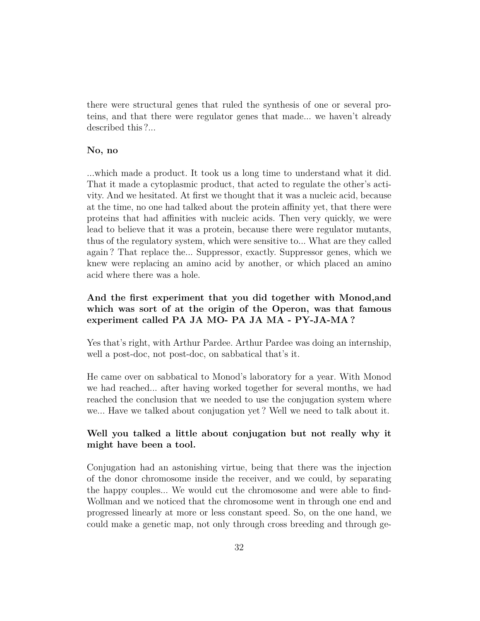there were structural genes that ruled the synthesis of one or several proteins, and that there were regulator genes that made... we haven't already described this ?...

#### **No, no**

...which made a product. It took us a long time to understand what it did. That it made a cytoplasmic product, that acted to regulate the other's activity. And we hesitated. At first we thought that it was a nucleic acid, because at the time, no one had talked about the protein affinity yet, that there were proteins that had affinities with nucleic acids. Then very quickly, we were lead to believe that it was a protein, because there were regulator mutants, thus of the regulatory system, which were sensitive to... What are they called again ? That replace the... Suppressor, exactly. Suppressor genes, which we knew were replacing an amino acid by another, or which placed an amino acid where there was a hole.

# **And the first experiment that you did together with Monod,and which was sort of at the origin of the Operon, was that famous experiment called PA JA MO- PA JA MA - PY-JA-MA ?**

Yes that's right, with Arthur Pardee. Arthur Pardee was doing an internship, well a post-doc, not post-doc, on sabbatical that's it.

He came over on sabbatical to Monod's laboratory for a year. With Monod we had reached... after having worked together for several months, we had reached the conclusion that we needed to use the conjugation system where we... Have we talked about conjugation yet ? Well we need to talk about it.

## **Well you talked a little about conjugation but not really why it might have been a tool.**

Conjugation had an astonishing virtue, being that there was the injection of the donor chromosome inside the receiver, and we could, by separating the happy couples... We would cut the chromosome and were able to find-Wollman and we noticed that the chromosome went in through one end and progressed linearly at more or less constant speed. So, on the one hand, we could make a genetic map, not only through cross breeding and through ge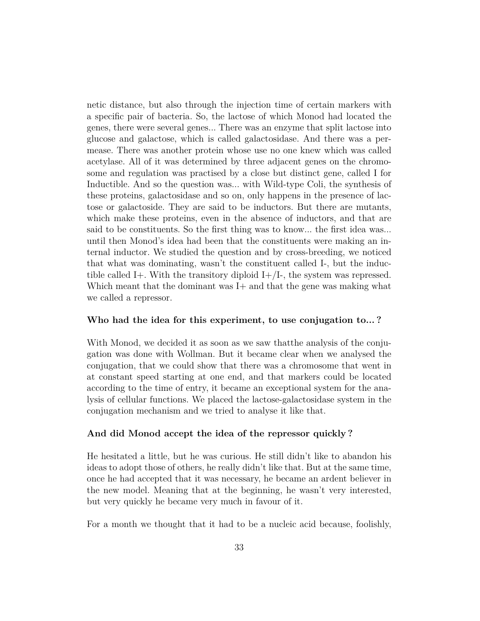netic distance, but also through the injection time of certain markers with a specific pair of bacteria. So, the lactose of which Monod had located the genes, there were several genes... There was an enzyme that split lactose into glucose and galactose, which is called galactosidase. And there was a permease. There was another protein whose use no one knew which was called acetylase. All of it was determined by three adjacent genes on the chromosome and regulation was practised by a close but distinct gene, called I for Inductible. And so the question was... with Wild-type Coli, the synthesis of these proteins, galactosidase and so on, only happens in the presence of lactose or galactoside. They are said to be inductors. But there are mutants, which make these proteins, even in the absence of inductors, and that are said to be constituents. So the first thing was to know... the first idea was... until then Monod's idea had been that the constituents were making an internal inductor. We studied the question and by cross-breeding, we noticed that what was dominating, wasn't the constituent called I-, but the inductible called I+. With the transitory diploid  $I+/I$ -, the system was repressed. Which meant that the dominant was I+ and that the gene was making what we called a repressor.

#### **Who had the idea for this experiment, to use conjugation to... ?**

With Monod, we decided it as soon as we saw thatthe analysis of the conjugation was done with Wollman. But it became clear when we analysed the conjugation, that we could show that there was a chromosome that went in at constant speed starting at one end, and that markers could be located according to the time of entry, it became an exceptional system for the analysis of cellular functions. We placed the lactose-galactosidase system in the conjugation mechanism and we tried to analyse it like that.

#### **And did Monod accept the idea of the repressor quickly ?**

He hesitated a little, but he was curious. He still didn't like to abandon his ideas to adopt those of others, he really didn't like that. But at the same time, once he had accepted that it was necessary, he became an ardent believer in the new model. Meaning that at the beginning, he wasn't very interested, but very quickly he became very much in favour of it.

For a month we thought that it had to be a nucleic acid because, foolishly,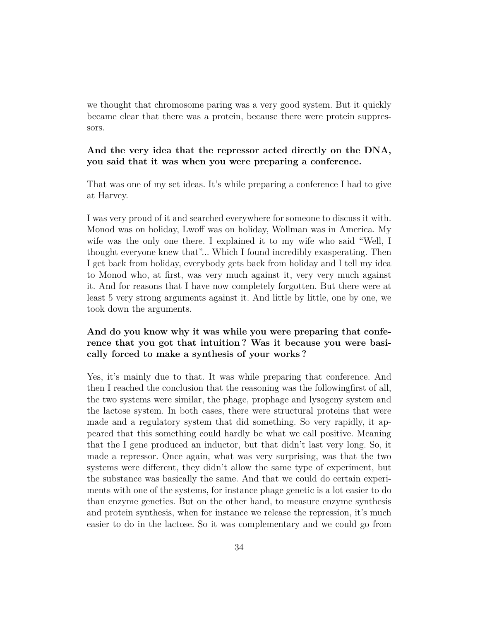we thought that chromosome paring was a very good system. But it quickly became clear that there was a protein, because there were protein suppressors.

### **And the very idea that the repressor acted directly on the DNA, you said that it was when you were preparing a conference.**

That was one of my set ideas. It's while preparing a conference I had to give at Harvey.

I was very proud of it and searched everywhere for someone to discuss it with. Monod was on holiday, Lwoff was on holiday, Wollman was in America. My wife was the only one there. I explained it to my wife who said "Well, I thought everyone knew that"... Which I found incredibly exasperating. Then I get back from holiday, everybody gets back from holiday and I tell my idea to Monod who, at first, was very much against it, very very much against it. And for reasons that I have now completely forgotten. But there were at least 5 very strong arguments against it. And little by little, one by one, we took down the arguments.

# **And do you know why it was while you were preparing that conference that you got that intuition ? Was it because you were basically forced to make a synthesis of your works ?**

Yes, it's mainly due to that. It was while preparing that conference. And then I reached the conclusion that the reasoning was the followingfirst of all, the two systems were similar, the phage, prophage and lysogeny system and the lactose system. In both cases, there were structural proteins that were made and a regulatory system that did something. So very rapidly, it appeared that this something could hardly be what we call positive. Meaning that the I gene produced an inductor, but that didn't last very long. So, it made a repressor. Once again, what was very surprising, was that the two systems were different, they didn't allow the same type of experiment, but the substance was basically the same. And that we could do certain experiments with one of the systems, for instance phage genetic is a lot easier to do than enzyme genetics. But on the other hand, to measure enzyme synthesis and protein synthesis, when for instance we release the repression, it's much easier to do in the lactose. So it was complementary and we could go from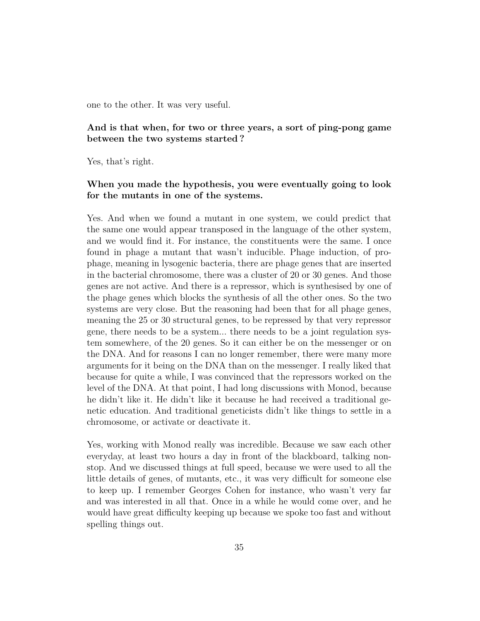one to the other. It was very useful.

## **And is that when, for two or three years, a sort of ping-pong game between the two systems started ?**

Yes, that's right.

# **When you made the hypothesis, you were eventually going to look for the mutants in one of the systems.**

Yes. And when we found a mutant in one system, we could predict that the same one would appear transposed in the language of the other system, and we would find it. For instance, the constituents were the same. I once found in phage a mutant that wasn't inducible. Phage induction, of prophage, meaning in lysogenic bacteria, there are phage genes that are inserted in the bacterial chromosome, there was a cluster of 20 or 30 genes. And those genes are not active. And there is a repressor, which is synthesised by one of the phage genes which blocks the synthesis of all the other ones. So the two systems are very close. But the reasoning had been that for all phage genes, meaning the 25 or 30 structural genes, to be repressed by that very repressor gene, there needs to be a system... there needs to be a joint regulation system somewhere, of the 20 genes. So it can either be on the messenger or on the DNA. And for reasons I can no longer remember, there were many more arguments for it being on the DNA than on the messenger. I really liked that because for quite a while, I was convinced that the repressors worked on the level of the DNA. At that point, I had long discussions with Monod, because he didn't like it. He didn't like it because he had received a traditional genetic education. And traditional geneticists didn't like things to settle in a chromosome, or activate or deactivate it.

Yes, working with Monod really was incredible. Because we saw each other everyday, at least two hours a day in front of the blackboard, talking nonstop. And we discussed things at full speed, because we were used to all the little details of genes, of mutants, etc., it was very difficult for someone else to keep up. I remember Georges Cohen for instance, who wasn't very far and was interested in all that. Once in a while he would come over, and he would have great difficulty keeping up because we spoke too fast and without spelling things out.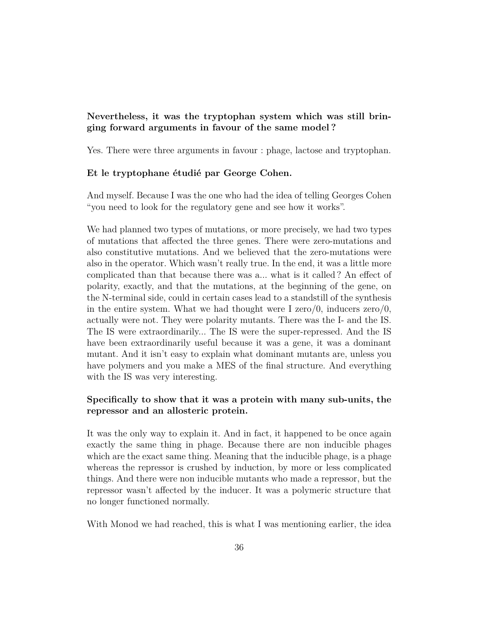# **Nevertheless, it was the tryptophan system which was still bringing forward arguments in favour of the same model ?**

Yes. There were three arguments in favour : phage, lactose and tryptophan.

#### **Et le tryptophane étudié par George Cohen.**

And myself. Because I was the one who had the idea of telling Georges Cohen "you need to look for the regulatory gene and see how it works".

We had planned two types of mutations, or more precisely, we had two types of mutations that affected the three genes. There were zero-mutations and also constitutive mutations. And we believed that the zero-mutations were also in the operator. Which wasn't really true. In the end, it was a little more complicated than that because there was a... what is it called ? An effect of polarity, exactly, and that the mutations, at the beginning of the gene, on the N-terminal side, could in certain cases lead to a standstill of the synthesis in the entire system. What we had thought were I zero/0, inducers  $\alpha$  zero/0, actually were not. They were polarity mutants. There was the I- and the IS. The IS were extraordinarily... The IS were the super-repressed. And the IS have been extraordinarily useful because it was a gene, it was a dominant mutant. And it isn't easy to explain what dominant mutants are, unless you have polymers and you make a MES of the final structure. And everything with the IS was very interesting.

## **Specifically to show that it was a protein with many sub-units, the repressor and an allosteric protein.**

It was the only way to explain it. And in fact, it happened to be once again exactly the same thing in phage. Because there are non inducible phages which are the exact same thing. Meaning that the inducible phage, is a phage whereas the repressor is crushed by induction, by more or less complicated things. And there were non inducible mutants who made a repressor, but the repressor wasn't affected by the inducer. It was a polymeric structure that no longer functioned normally.

With Monod we had reached, this is what I was mentioning earlier, the idea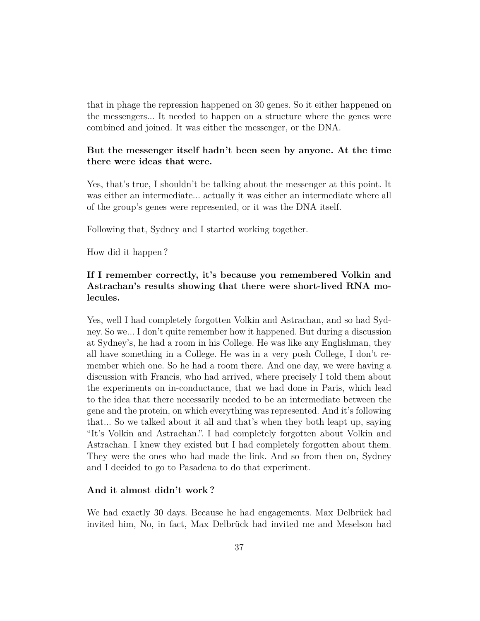that in phage the repression happened on 30 genes. So it either happened on the messengers... It needed to happen on a structure where the genes were combined and joined. It was either the messenger, or the DNA.

### **But the messenger itself hadn't been seen by anyone. At the time there were ideas that were.**

Yes, that's true, I shouldn't be talking about the messenger at this point. It was either an intermediate... actually it was either an intermediate where all of the group's genes were represented, or it was the DNA itself.

Following that, Sydney and I started working together.

How did it happen ?

# **If I remember correctly, it's because you remembered Volkin and Astrachan's results showing that there were short-lived RNA molecules.**

Yes, well I had completely forgotten Volkin and Astrachan, and so had Sydney. So we... I don't quite remember how it happened. But during a discussion at Sydney's, he had a room in his College. He was like any Englishman, they all have something in a College. He was in a very posh College, I don't remember which one. So he had a room there. And one day, we were having a discussion with Francis, who had arrived, where precisely I told them about the experiments on in-conductance, that we had done in Paris, which lead to the idea that there necessarily needed to be an intermediate between the gene and the protein, on which everything was represented. And it's following that... So we talked about it all and that's when they both leapt up, saying "It's Volkin and Astrachan.". I had completely forgotten about Volkin and Astrachan. I knew they existed but I had completely forgotten about them. They were the ones who had made the link. And so from then on, Sydney and I decided to go to Pasadena to do that experiment.

### **And it almost didn't work ?**

We had exactly 30 days. Because he had engagements. Max Delbrück had invited him, No, in fact, Max Delbrück had invited me and Meselson had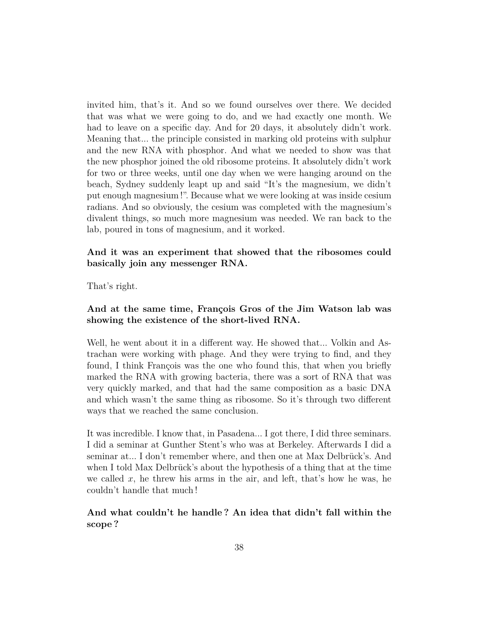invited him, that's it. And so we found ourselves over there. We decided that was what we were going to do, and we had exactly one month. We had to leave on a specific day. And for 20 days, it absolutely didn't work. Meaning that... the principle consisted in marking old proteins with sulphur and the new RNA with phosphor. And what we needed to show was that the new phosphor joined the old ribosome proteins. It absolutely didn't work for two or three weeks, until one day when we were hanging around on the beach, Sydney suddenly leapt up and said "It's the magnesium, we didn't put enough magnesium !". Because what we were looking at was inside cesium radians. And so obviously, the cesium was completed with the magnesium's divalent things, so much more magnesium was needed. We ran back to the lab, poured in tons of magnesium, and it worked.

## **And it was an experiment that showed that the ribosomes could basically join any messenger RNA.**

That's right.

# **And at the same time, François Gros of the Jim Watson lab was showing the existence of the short-lived RNA.**

Well, he went about it in a different way. He showed that... Volkin and Astrachan were working with phage. And they were trying to find, and they found, I think François was the one who found this, that when you briefly marked the RNA with growing bacteria, there was a sort of RNA that was very quickly marked, and that had the same composition as a basic DNA and which wasn't the same thing as ribosome. So it's through two different ways that we reached the same conclusion.

It was incredible. I know that, in Pasadena... I got there, I did three seminars. I did a seminar at Gunther Stent's who was at Berkeley. Afterwards I did a seminar at... I don't remember where, and then one at Max Delbrück's. And when I told Max Delbrück's about the hypothesis of a thing that at the time we called  $x$ , he threw his arms in the air, and left, that's how he was, he couldn't handle that much !

# **And what couldn't he handle ? An idea that didn't fall within the scope ?**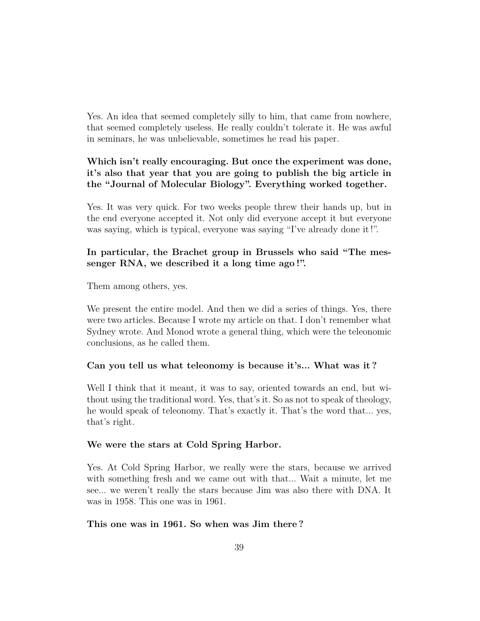Yes. An idea that seemed completely silly to him, that came from nowhere, that seemed completely useless. He really couldn't tolerate it. He was awful in seminars, he was unbelievable, sometimes he read his paper.

# **Which isn't really encouraging. But once the experiment was done, it's also that year that you are going to publish the big article in the "Journal of Molecular Biology". Everything worked together.**

Yes. It was very quick. For two weeks people threw their hands up, but in the end everyone accepted it. Not only did everyone accept it but everyone was saying, which is typical, everyone was saying "I've already done it !".

# **In particular, the Brachet group in Brussels who said "The messenger RNA, we described it a long time ago !".**

Them among others, yes.

We present the entire model. And then we did a series of things. Yes, there were two articles. Because I wrote my article on that. I don't remember what Sydney wrote. And Monod wrote a general thing, which were the teleonomic conclusions, as he called them.

### **Can you tell us what teleonomy is because it's... What was it ?**

Well I think that it meant, it was to say, oriented towards an end, but without using the traditional word. Yes, that's it. So as not to speak of theology, he would speak of teleonomy. That's exactly it. That's the word that... yes, that's right.

### **We were the stars at Cold Spring Harbor.**

Yes. At Cold Spring Harbor, we really were the stars, because we arrived with something fresh and we came out with that... Wait a minute, let me see... we weren't really the stars because Jim was also there with DNA. It was in 1958. This one was in 1961.

### **This one was in 1961. So when was Jim there ?**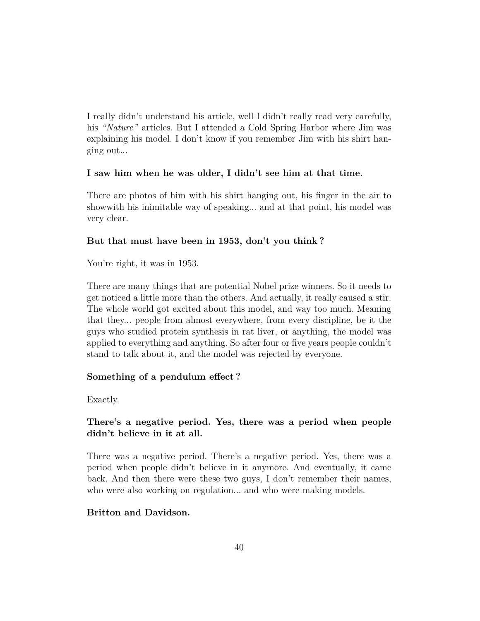I really didn't understand his article, well I didn't really read very carefully, his *"Nature"* articles. But I attended a Cold Spring Harbor where Jim was explaining his model. I don't know if you remember Jim with his shirt hanging out...

### **I saw him when he was older, I didn't see him at that time.**

There are photos of him with his shirt hanging out, his finger in the air to showwith his inimitable way of speaking... and at that point, his model was very clear.

### **But that must have been in 1953, don't you think ?**

You're right, it was in 1953.

There are many things that are potential Nobel prize winners. So it needs to get noticed a little more than the others. And actually, it really caused a stir. The whole world got excited about this model, and way too much. Meaning that they... people from almost everywhere, from every discipline, be it the guys who studied protein synthesis in rat liver, or anything, the model was applied to everything and anything. So after four or five years people couldn't stand to talk about it, and the model was rejected by everyone.

### **Something of a pendulum effect ?**

Exactly.

### **There's a negative period. Yes, there was a period when people didn't believe in it at all.**

There was a negative period. There's a negative period. Yes, there was a period when people didn't believe in it anymore. And eventually, it came back. And then there were these two guys, I don't remember their names, who were also working on regulation... and who were making models.

### **Britton and Davidson.**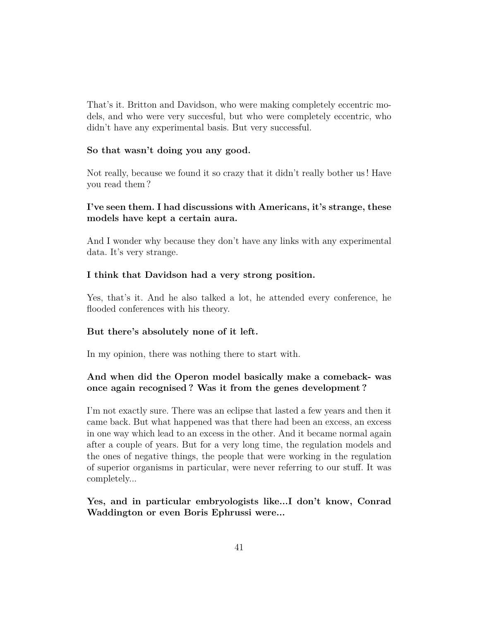That's it. Britton and Davidson, who were making completely eccentric models, and who were very succesful, but who were completely eccentric, who didn't have any experimental basis. But very successful.

### **So that wasn't doing you any good.**

Not really, because we found it so crazy that it didn't really bother us ! Have you read them ?

## **I've seen them. I had discussions with Americans, it's strange, these models have kept a certain aura.**

And I wonder why because they don't have any links with any experimental data. It's very strange.

### **I think that Davidson had a very strong position.**

Yes, that's it. And he also talked a lot, he attended every conference, he flooded conferences with his theory.

#### **But there's absolutely none of it left.**

In my opinion, there was nothing there to start with.

## **And when did the Operon model basically make a comeback- was once again recognised ? Was it from the genes development ?**

I'm not exactly sure. There was an eclipse that lasted a few years and then it came back. But what happened was that there had been an excess, an excess in one way which lead to an excess in the other. And it became normal again after a couple of years. But for a very long time, the regulation models and the ones of negative things, the people that were working in the regulation of superior organisms in particular, were never referring to our stuff. It was completely...

## **Yes, and in particular embryologists like...I don't know, Conrad Waddington or even Boris Ephrussi were...**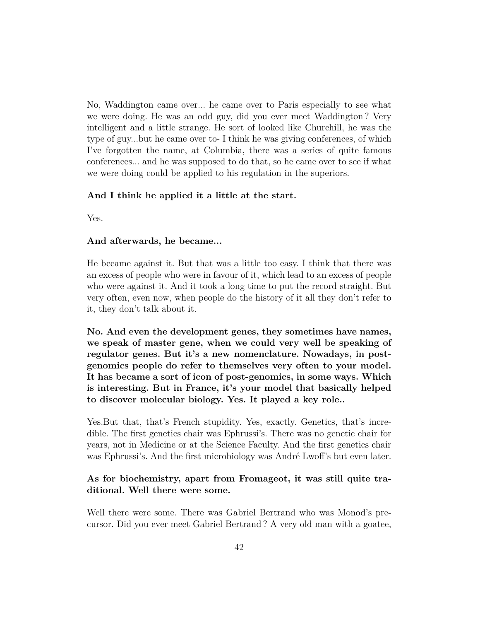No, Waddington came over... he came over to Paris especially to see what we were doing. He was an odd guy, did you ever meet Waddington ? Very intelligent and a little strange. He sort of looked like Churchill, he was the type of guy...but he came over to- I think he was giving conferences, of which I've forgotten the name, at Columbia, there was a series of quite famous conferences... and he was supposed to do that, so he came over to see if what we were doing could be applied to his regulation in the superiors.

### **And I think he applied it a little at the start.**

Yes.

### **And afterwards, he became...**

He became against it. But that was a little too easy. I think that there was an excess of people who were in favour of it, which lead to an excess of people who were against it. And it took a long time to put the record straight. But very often, even now, when people do the history of it all they don't refer to it, they don't talk about it.

**No. And even the development genes, they sometimes have names, we speak of master gene, when we could very well be speaking of regulator genes. But it's a new nomenclature. Nowadays, in postgenomics people do refer to themselves very often to your model. It has became a sort of icon of post-genomics, in some ways. Which is interesting. But in France, it's your model that basically helped to discover molecular biology. Yes. It played a key role..**

Yes. But that, that's French stupidity. Yes, exactly. Genetics, that's incredible. The first genetics chair was Ephrussi's. There was no genetic chair for years, not in Medicine or at the Science Faculty. And the first genetics chair was Ephrussi's. And the first microbiology was André Lwoff's but even later.

# **As for biochemistry, apart from Fromageot, it was still quite traditional. Well there were some.**

Well there were some. There was Gabriel Bertrand who was Monod's precursor. Did you ever meet Gabriel Bertrand ? A very old man with a goatee,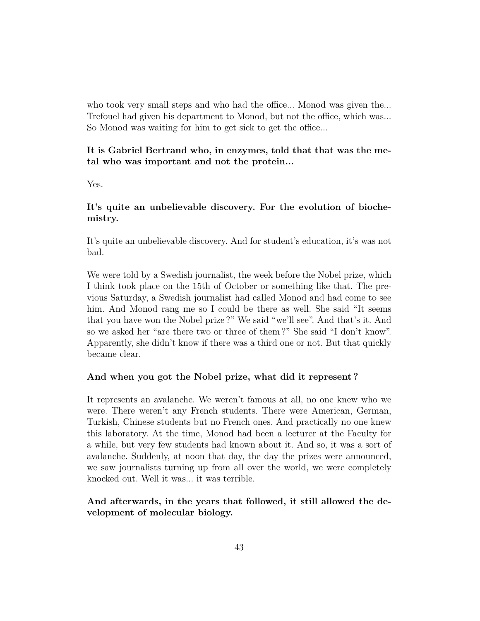who took very small steps and who had the office... Monod was given the... Trefouel had given his department to Monod, but not the office, which was... So Monod was waiting for him to get sick to get the office...

## **It is Gabriel Bertrand who, in enzymes, told that that was the metal who was important and not the protein...**

Yes.

# **It's quite an unbelievable discovery. For the evolution of biochemistry.**

It's quite an unbelievable discovery. And for student's education, it's was not bad.

We were told by a Swedish journalist, the week before the Nobel prize, which I think took place on the 15th of October or something like that. The previous Saturday, a Swedish journalist had called Monod and had come to see him. And Monod rang me so I could be there as well. She said "It seems that you have won the Nobel prize ?" We said "we'll see". And that's it. And so we asked her "are there two or three of them ?" She said "I don't know". Apparently, she didn't know if there was a third one or not. But that quickly became clear.

### **And when you got the Nobel prize, what did it represent ?**

It represents an avalanche. We weren't famous at all, no one knew who we were. There weren't any French students. There were American, German, Turkish, Chinese students but no French ones. And practically no one knew this laboratory. At the time, Monod had been a lecturer at the Faculty for a while, but very few students had known about it. And so, it was a sort of avalanche. Suddenly, at noon that day, the day the prizes were announced, we saw journalists turning up from all over the world, we were completely knocked out. Well it was... it was terrible.

# **And afterwards, in the years that followed, it still allowed the development of molecular biology.**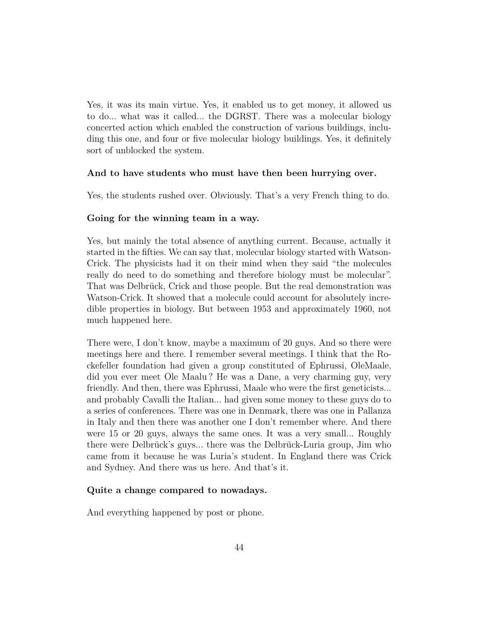Yes, it was its main virtue. Yes, it enabled us to get money, it allowed us to do... what was it called... the DGRST. There was a molecular biology concerted action which enabled the construction of various buildings, including this one, and four or five molecular biology buildings. Yes, it definitely sort of unblocked the system.

### **And to have students who must have then been hurrying over.**

Yes, the students rushed over. Obviously. That's a very French thing to do.

### **Going for the winning team in a way.**

Yes, but mainly the total absence of anything current. Because, actually it started in the fifties. We can say that, molecular biology started with Watson-Crick. The physicists had it on their mind when they said "the molecules really do need to do something and therefore biology must be molecular". That was Delbrück, Crick and those people. But the real demonstration was Watson-Crick. It showed that a molecule could account for absolutely incredible properties in biology. But between 1953 and approximately 1960, not much happened here.

There were, I don't know, maybe a maximum of 20 guys. And so there were meetings here and there. I remember several meetings. I think that the Rockefeller foundation had given a group constituted of Ephrussi, OleMaale, did you ever meet Ole Maalu ? He was a Dane, a very charming guy, very friendly. And then, there was Ephrussi, Maale who were the first geneticists... and probably Cavalli the Italian... had given some money to these guys do to a series of conferences. There was one in Denmark, there was one in Pallanza in Italy and then there was another one I don't remember where. And there were 15 or 20 guys, always the same ones. It was a very small... Roughly there were Delbrück's guys... there was the Delbrück-Luria group, Jim who came from it because he was Luria's student. In England there was Crick and Sydney. And there was us here. And that's it.

### **Quite a change compared to nowadays.**

And everything happened by post or phone.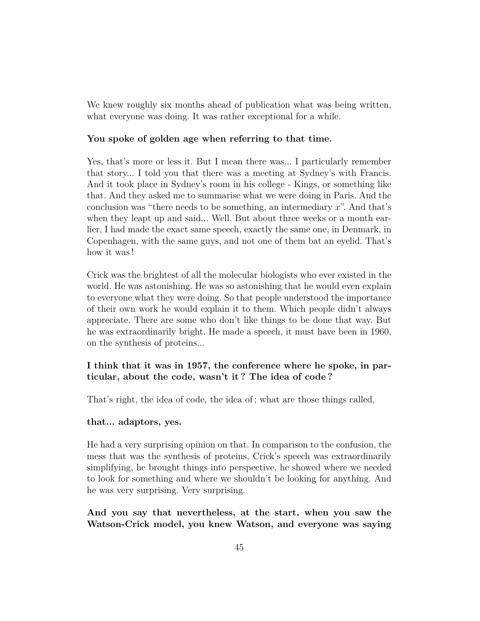We knew roughly six months ahead of publication what was being written, what everyone was doing. It was rather exceptional for a while.

### **You spoke of golden age when referring to that time.**

Yes, that's more or less it. But I mean there was... I particularly remember that story... I told you that there was a meeting at Sydney's with Francis. And it took place in Sydney's room in his college - Kings, or something like that. And they asked me to summarise what we were doing in Paris. And the conclusion was "there needs to be something, an intermediary *x*". And that's when they leapt up and said... Well. But about three weeks or a month earlier, I had made the exact same speech, exactly the same one, in Denmark, in Copenhagen, with the same guys, and not one of them bat an eyelid. That's how it was !

Crick was the brightest of all the molecular biologists who ever existed in the world. He was astonishing. He was so astonishing that he would even explain to everyone what they were doing. So that people understood the importance of their own work he would explain it to them. Which people didn't always appreciate. There are some who don't like things to be done that way. But he was extraordinarily bright. He made a speech, it must have been in 1960, on the synthesis of proteins...

## **I think that it was in 1957, the conference where he spoke, in particular, about the code, wasn't it ? The idea of code ?**

That's right, the idea of code, the idea of ; what are those things called,

### **that... adaptors, yes.**

He had a very surprising opinion on that. In comparison to the confusion, the mess that was the synthesis of proteins, Crick's speech was extraordinarily simplifying, he brought things into perspective, he showed where we needed to look for something and where we shouldn't be looking for anything. And he was very surprising. Very surprising.

**And you say that nevertheless, at the start, when you saw the Watson-Crick model, you knew Watson, and everyone was saying**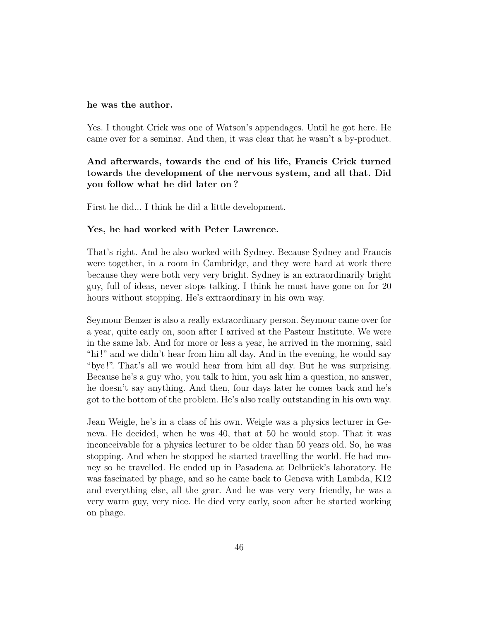#### **he was the author.**

Yes. I thought Crick was one of Watson's appendages. Until he got here. He came over for a seminar. And then, it was clear that he wasn't a by-product.

# **And afterwards, towards the end of his life, Francis Crick turned towards the development of the nervous system, and all that. Did you follow what he did later on ?**

First he did... I think he did a little development.

#### **Yes, he had worked with Peter Lawrence.**

That's right. And he also worked with Sydney. Because Sydney and Francis were together, in a room in Cambridge, and they were hard at work there because they were both very very bright. Sydney is an extraordinarily bright guy, full of ideas, never stops talking. I think he must have gone on for 20 hours without stopping. He's extraordinary in his own way.

Seymour Benzer is also a really extraordinary person. Seymour came over for a year, quite early on, soon after I arrived at the Pasteur Institute. We were in the same lab. And for more or less a year, he arrived in the morning, said "hi !" and we didn't hear from him all day. And in the evening, he would say "bye !". That's all we would hear from him all day. But he was surprising. Because he's a guy who, you talk to him, you ask him a question, no answer, he doesn't say anything. And then, four days later he comes back and he's got to the bottom of the problem. He's also really outstanding in his own way.

Jean Weigle, he's in a class of his own. Weigle was a physics lecturer in Geneva. He decided, when he was 40, that at 50 he would stop. That it was inconceivable for a physics lecturer to be older than 50 years old. So, he was stopping. And when he stopped he started travelling the world. He had money so he travelled. He ended up in Pasadena at Delbrück's laboratory. He was fascinated by phage, and so he came back to Geneva with Lambda, K12 and everything else, all the gear. And he was very very friendly, he was a very warm guy, very nice. He died very early, soon after he started working on phage.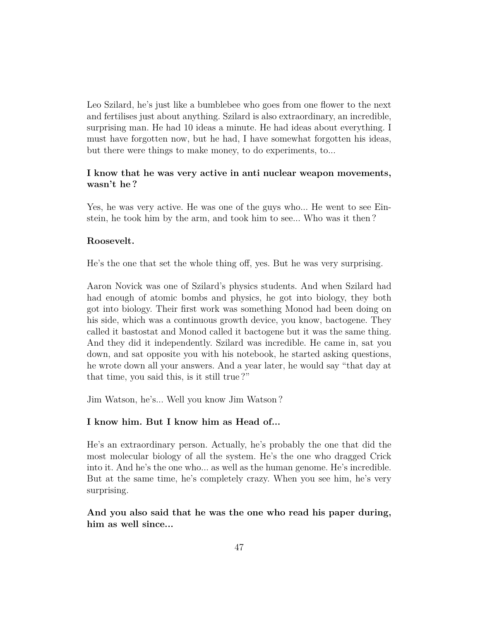Leo Szilard, he's just like a bumblebee who goes from one flower to the next and fertilises just about anything. Szilard is also extraordinary, an incredible, surprising man. He had 10 ideas a minute. He had ideas about everything. I must have forgotten now, but he had, I have somewhat forgotten his ideas, but there were things to make money, to do experiments, to...

### **I know that he was very active in anti nuclear weapon movements, wasn't he ?**

Yes, he was very active. He was one of the guys who... He went to see Einstein, he took him by the arm, and took him to see... Who was it then ?

### **Roosevelt.**

He's the one that set the whole thing off, yes. But he was very surprising.

Aaron Novick was one of Szilard's physics students. And when Szilard had had enough of atomic bombs and physics, he got into biology, they both got into biology. Their first work was something Monod had been doing on his side, which was a continuous growth device, you know, bactogene. They called it bastostat and Monod called it bactogene but it was the same thing. And they did it independently. Szilard was incredible. He came in, sat you down, and sat opposite you with his notebook, he started asking questions, he wrote down all your answers. And a year later, he would say "that day at that time, you said this, is it still true ?"

Jim Watson, he's... Well you know Jim Watson ?

### **I know him. But I know him as Head of...**

He's an extraordinary person. Actually, he's probably the one that did the most molecular biology of all the system. He's the one who dragged Crick into it. And he's the one who... as well as the human genome. He's incredible. But at the same time, he's completely crazy. When you see him, he's very surprising.

**And you also said that he was the one who read his paper during, him as well since...**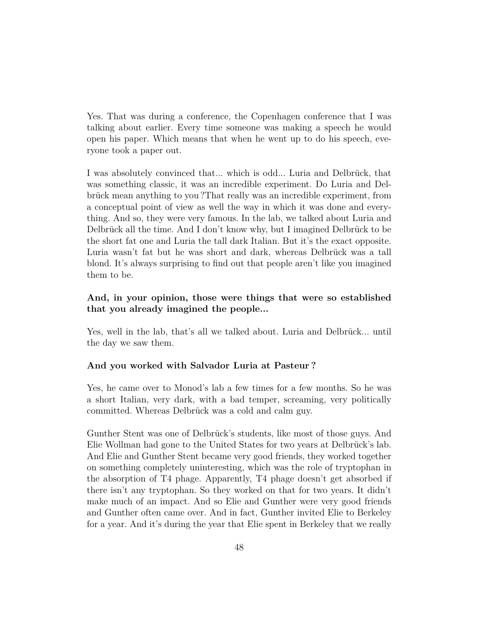Yes. That was during a conference, the Copenhagen conference that I was talking about earlier. Every time someone was making a speech he would open his paper. Which means that when he went up to do his speech, everyone took a paper out.

I was absolutely convinced that... which is odd... Luria and Delbrück, that was something classic, it was an incredible experiment. Do Luria and Delbrück mean anything to you ?That really was an incredible experiment, from a conceptual point of view as well the way in which it was done and everything. And so, they were very famous. In the lab, we talked about Luria and Delbrück all the time. And I don't know why, but I imagined Delbrück to be the short fat one and Luria the tall dark Italian. But it's the exact opposite. Luria wasn't fat but he was short and dark, whereas Delbrück was a tall blond. It's always surprising to find out that people aren't like you imagined them to be.

## **And, in your opinion, those were things that were so established that you already imagined the people...**

Yes, well in the lab, that's all we talked about. Luria and Delbrück... until the day we saw them.

### **And you worked with Salvador Luria at Pasteur ?**

Yes, he came over to Monod's lab a few times for a few months. So he was a short Italian, very dark, with a bad temper, screaming, very politically committed. Whereas Delbrück was a cold and calm guy.

Gunther Stent was one of Delbrück's students, like most of those guys. And Elie Wollman had gone to the United States for two years at Delbrück's lab. And Elie and Gunther Stent became very good friends, they worked together on something completely uninteresting, which was the role of tryptophan in the absorption of T4 phage. Apparently, T4 phage doesn't get absorbed if there isn't any tryptophan. So they worked on that for two years. It didn't make much of an impact. And so Elie and Gunther were very good friends and Gunther often came over. And in fact, Gunther invited Elie to Berkeley for a year. And it's during the year that Elie spent in Berkeley that we really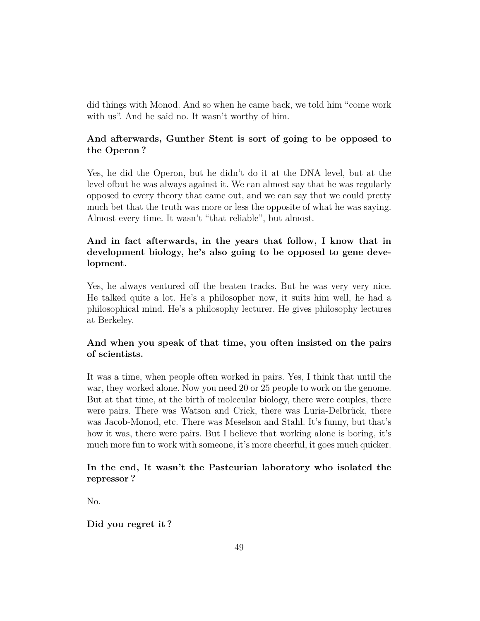did things with Monod. And so when he came back, we told him "come work with us". And he said no. It wasn't worthy of him.

# **And afterwards, Gunther Stent is sort of going to be opposed to the Operon ?**

Yes, he did the Operon, but he didn't do it at the DNA level, but at the level ofbut he was always against it. We can almost say that he was regularly opposed to every theory that came out, and we can say that we could pretty much bet that the truth was more or less the opposite of what he was saying. Almost every time. It wasn't "that reliable", but almost.

# **And in fact afterwards, in the years that follow, I know that in development biology, he's also going to be opposed to gene development.**

Yes, he always ventured off the beaten tracks. But he was very very nice. He talked quite a lot. He's a philosopher now, it suits him well, he had a philosophical mind. He's a philosophy lecturer. He gives philosophy lectures at Berkeley.

# **And when you speak of that time, you often insisted on the pairs of scientists.**

It was a time, when people often worked in pairs. Yes, I think that until the war, they worked alone. Now you need 20 or 25 people to work on the genome. But at that time, at the birth of molecular biology, there were couples, there were pairs. There was Watson and Crick, there was Luria-Delbrück, there was Jacob-Monod, etc. There was Meselson and Stahl. It's funny, but that's how it was, there were pairs. But I believe that working alone is boring, it's much more fun to work with someone, it's more cheerful, it goes much quicker.

## **In the end, It wasn't the Pasteurian laboratory who isolated the repressor ?**

No.

**Did you regret it ?**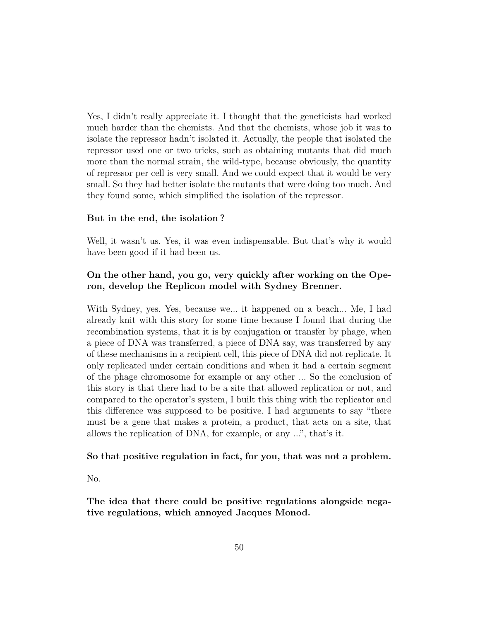Yes, I didn't really appreciate it. I thought that the geneticists had worked much harder than the chemists. And that the chemists, whose job it was to isolate the repressor hadn't isolated it. Actually, the people that isolated the repressor used one or two tricks, such as obtaining mutants that did much more than the normal strain, the wild-type, because obviously, the quantity of repressor per cell is very small. And we could expect that it would be very small. So they had better isolate the mutants that were doing too much. And they found some, which simplified the isolation of the repressor.

### **But in the end, the isolation ?**

Well, it wasn't us. Yes, it was even indispensable. But that's why it would have been good if it had been us.

## **On the other hand, you go, very quickly after working on the Operon, develop the Replicon model with Sydney Brenner.**

With Sydney, yes. Yes, because we... it happened on a beach... Me, I had already knit with this story for some time because I found that during the recombination systems, that it is by conjugation or transfer by phage, when a piece of DNA was transferred, a piece of DNA say, was transferred by any of these mechanisms in a recipient cell, this piece of DNA did not replicate. It only replicated under certain conditions and when it had a certain segment of the phage chromosome for example or any other ... So the conclusion of this story is that there had to be a site that allowed replication or not, and compared to the operator's system, I built this thing with the replicator and this difference was supposed to be positive. I had arguments to say "there must be a gene that makes a protein, a product, that acts on a site, that allows the replication of DNA, for example, or any ...", that's it.

### **So that positive regulation in fact, for you, that was not a problem.**

No.

**The idea that there could be positive regulations alongside negative regulations, which annoyed Jacques Monod.**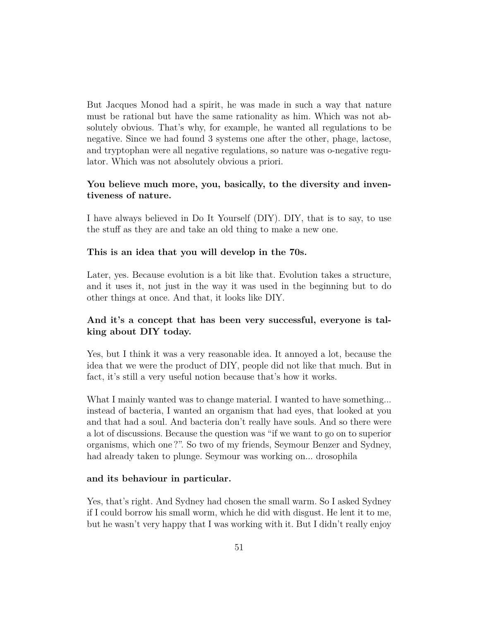But Jacques Monod had a spirit, he was made in such a way that nature must be rational but have the same rationality as him. Which was not absolutely obvious. That's why, for example, he wanted all regulations to be negative. Since we had found 3 systems one after the other, phage, lactose, and tryptophan were all negative regulations, so nature was o-negative regulator. Which was not absolutely obvious a priori.

## **You believe much more, you, basically, to the diversity and inventiveness of nature.**

I have always believed in Do It Yourself (DIY). DIY, that is to say, to use the stuff as they are and take an old thing to make a new one.

### **This is an idea that you will develop in the 70s.**

Later, yes. Because evolution is a bit like that. Evolution takes a structure, and it uses it, not just in the way it was used in the beginning but to do other things at once. And that, it looks like DIY.

## **And it's a concept that has been very successful, everyone is talking about DIY today.**

Yes, but I think it was a very reasonable idea. It annoyed a lot, because the idea that we were the product of DIY, people did not like that much. But in fact, it's still a very useful notion because that's how it works.

What I mainly wanted was to change material. I wanted to have something... instead of bacteria, I wanted an organism that had eyes, that looked at you and that had a soul. And bacteria don't really have souls. And so there were a lot of discussions. Because the question was "if we want to go on to superior organisms, which one ?". So two of my friends, Seymour Benzer and Sydney, had already taken to plunge. Seymour was working on... drosophila

### **and its behaviour in particular.**

Yes, that's right. And Sydney had chosen the small warm. So I asked Sydney if I could borrow his small worm, which he did with disgust. He lent it to me, but he wasn't very happy that I was working with it. But I didn't really enjoy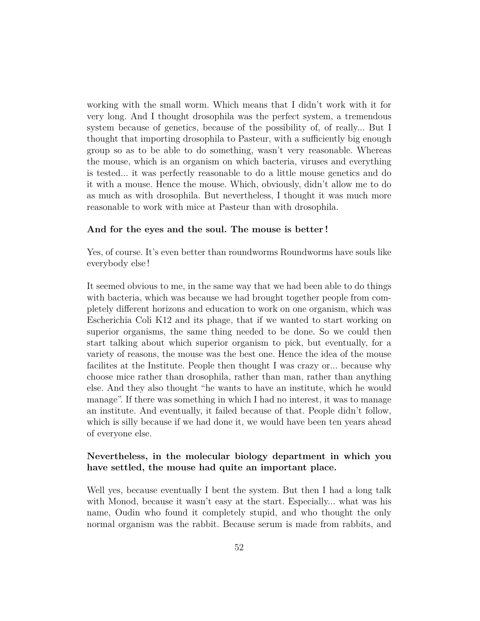working with the small worm. Which means that I didn't work with it for very long. And I thought drosophila was the perfect system, a tremendous system because of genetics, because of the possibility of, of really... But I thought that importing drosophila to Pasteur, with a sufficiently big enough group so as to be able to do something, wasn't very reasonable. Whereas the mouse, which is an organism on which bacteria, viruses and everything is tested... it was perfectly reasonable to do a little mouse genetics and do it with a mouse. Hence the mouse. Which, obviously, didn't allow me to do as much as with drosophila. But nevertheless, I thought it was much more reasonable to work with mice at Pasteur than with drosophila.

#### **And for the eyes and the soul. The mouse is better !**

Yes, of course. It's even better than roundworms Roundworms have souls like everybody else !

It seemed obvious to me, in the same way that we had been able to do things with bacteria, which was because we had brought together people from completely different horizons and education to work on one organism, which was Escherichia Coli K12 and its phage, that if we wanted to start working on superior organisms, the same thing needed to be done. So we could then start talking about which superior organism to pick, but eventually, for a variety of reasons, the mouse was the best one. Hence the idea of the mouse facilites at the Institute. People then thought I was crazy or... because why choose mice rather than drosophila, rather than man, rather than anything else. And they also thought "he wants to have an institute, which he would manage". If there was something in which I had no interest, it was to manage an institute. And eventually, it failed because of that. People didn't follow, which is silly because if we had done it, we would have been ten years ahead of everyone else.

## **Nevertheless, in the molecular biology department in which you have settled, the mouse had quite an important place.**

Well yes, because eventually I bent the system. But then I had a long talk with Monod, because it wasn't easy at the start. Especially... what was his name, Oudin who found it completely stupid, and who thought the only normal organism was the rabbit. Because serum is made from rabbits, and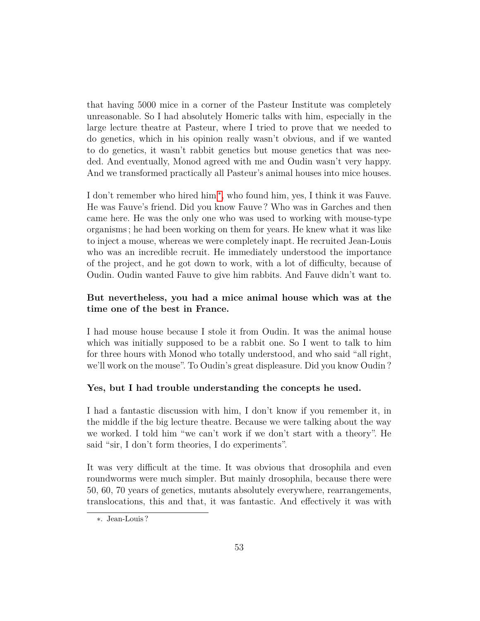that having 5000 mice in a corner of the Pasteur Institute was completely unreasonable. So I had absolutely Homeric talks with him, especially in the large lecture theatre at Pasteur, where I tried to prove that we needed to do genetics, which in his opinion really wasn't obvious, and if we wanted to do genetics, it wasn't rabbit genetics but mouse genetics that was needed. And eventually, Monod agreed with me and Oudin wasn't very happy. And we transformed practically all Pasteur's animal houses into mice houses.

I don't remember who hired him<sup>\*</sup>, who found him, yes, I think it was Fauve. He was Fauve's friend. Did you know Fauve ? Who was in Garches and then came here. He was the only one who was used to working with mouse-type organisms ; he had been working on them for years. He knew what it was like to inject a mouse, whereas we were completely inapt. He recruited Jean-Louis who was an incredible recruit. He immediately understood the importance of the project, and he got down to work, with a lot of difficulty, because of Oudin. Oudin wanted Fauve to give him rabbits. And Fauve didn't want to.

## **But nevertheless, you had a mice animal house which was at the time one of the best in France.**

I had mouse house because I stole it from Oudin. It was the animal house which was initially supposed to be a rabbit one. So I went to talk to him for three hours with Monod who totally understood, and who said "all right, we'll work on the mouse". To Oudin's great displeasure. Did you know Oudin ?

### **Yes, but I had trouble understanding the concepts he used.**

I had a fantastic discussion with him, I don't know if you remember it, in the middle if the big lecture theatre. Because we were talking about the way we worked. I told him "we can't work if we don't start with a theory". He said "sir, I don't form theories, I do experiments".

It was very difficult at the time. It was obvious that drosophila and even roundworms were much simpler. But mainly drosophila, because there were 50, 60, 70 years of genetics, mutants absolutely everywhere, rearrangements, translocations, this and that, it was fantastic. And effectively it was with

<span id="page-52-0"></span><sup>∗</sup>. Jean-Louis ?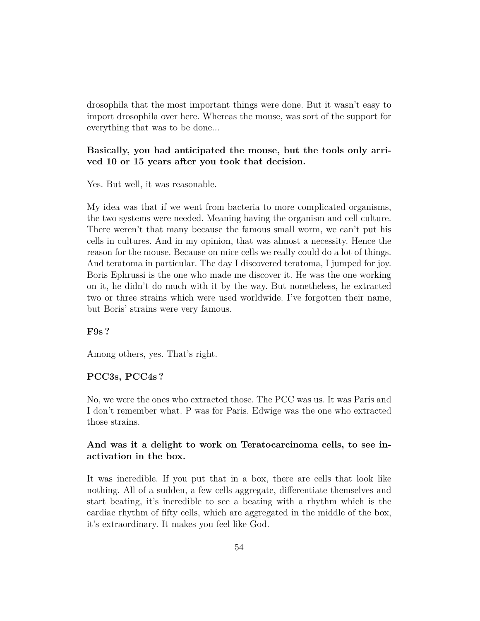drosophila that the most important things were done. But it wasn't easy to import drosophila over here. Whereas the mouse, was sort of the support for everything that was to be done...

## **Basically, you had anticipated the mouse, but the tools only arrived 10 or 15 years after you took that decision.**

Yes. But well, it was reasonable.

My idea was that if we went from bacteria to more complicated organisms, the two systems were needed. Meaning having the organism and cell culture. There weren't that many because the famous small worm, we can't put his cells in cultures. And in my opinion, that was almost a necessity. Hence the reason for the mouse. Because on mice cells we really could do a lot of things. And teratoma in particular. The day I discovered teratoma, I jumped for joy. Boris Ephrussi is the one who made me discover it. He was the one working on it, he didn't do much with it by the way. But nonetheless, he extracted two or three strains which were used worldwide. I've forgotten their name, but Boris' strains were very famous.

### **F9s ?**

Among others, yes. That's right.

### **PCC3s, PCC4s ?**

No, we were the ones who extracted those. The PCC was us. It was Paris and I don't remember what. P was for Paris. Edwige was the one who extracted those strains.

## **And was it a delight to work on Teratocarcinoma cells, to see inactivation in the box.**

It was incredible. If you put that in a box, there are cells that look like nothing. All of a sudden, a few cells aggregate, differentiate themselves and start beating, it's incredible to see a beating with a rhythm which is the cardiac rhythm of fifty cells, which are aggregated in the middle of the box, it's extraordinary. It makes you feel like God.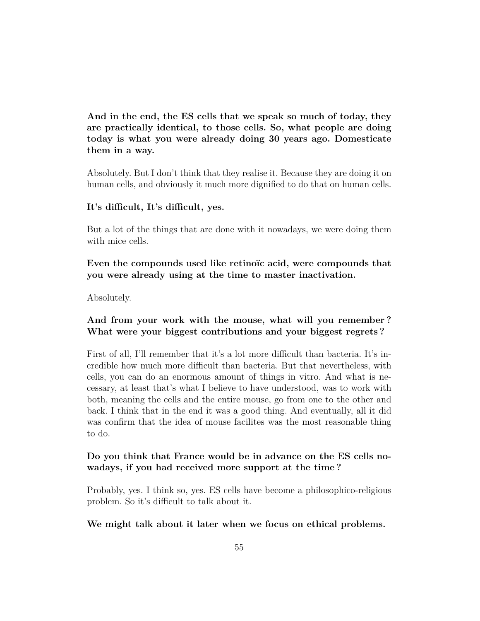**And in the end, the ES cells that we speak so much of today, they are practically identical, to those cells. So, what people are doing today is what you were already doing 30 years ago. Domesticate them in a way.**

Absolutely. But I don't think that they realise it. Because they are doing it on human cells, and obviously it much more dignified to do that on human cells.

### **It's difficult, It's difficult, yes.**

But a lot of the things that are done with it nowadays, we were doing them with mice cells.

**Even the compounds used like retinoïc acid, were compounds that you were already using at the time to master inactivation.**

Absolutely.

## **And from your work with the mouse, what will you remember ? What were your biggest contributions and your biggest regrets ?**

First of all, I'll remember that it's a lot more difficult than bacteria. It's incredible how much more difficult than bacteria. But that nevertheless, with cells, you can do an enormous amount of things in vitro. And what is necessary, at least that's what I believe to have understood, was to work with both, meaning the cells and the entire mouse, go from one to the other and back. I think that in the end it was a good thing. And eventually, all it did was confirm that the idea of mouse facilites was the most reasonable thing to do.

### **Do you think that France would be in advance on the ES cells nowadays, if you had received more support at the time ?**

Probably, yes. I think so, yes. ES cells have become a philosophico-religious problem. So it's difficult to talk about it.

**We might talk about it later when we focus on ethical problems.**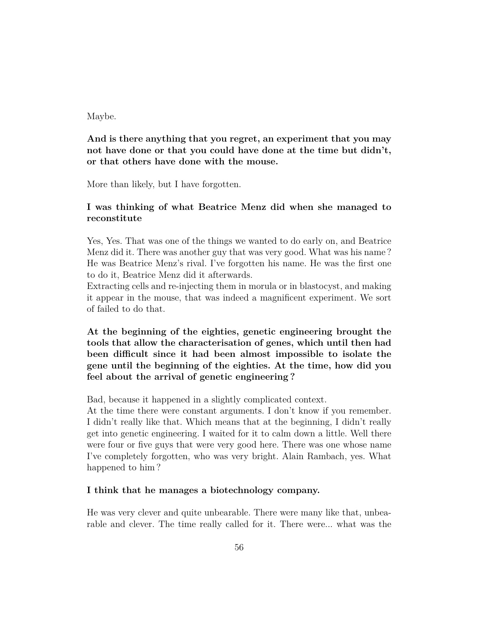### Maybe.

# **And is there anything that you regret, an experiment that you may not have done or that you could have done at the time but didn't, or that others have done with the mouse.**

More than likely, but I have forgotten.

## **I was thinking of what Beatrice Menz did when she managed to reconstitute**

Yes, Yes. That was one of the things we wanted to do early on, and Beatrice Menz did it. There was another guy that was very good. What was his name ? He was Beatrice Menz's rival. I've forgotten his name. He was the first one to do it, Beatrice Menz did it afterwards.

Extracting cells and re-injecting them in morula or in blastocyst, and making it appear in the mouse, that was indeed a magnificent experiment. We sort of failed to do that.

**At the beginning of the eighties, genetic engineering brought the tools that allow the characterisation of genes, which until then had been difficult since it had been almost impossible to isolate the gene until the beginning of the eighties. At the time, how did you feel about the arrival of genetic engineering ?**

Bad, because it happened in a slightly complicated context.

At the time there were constant arguments. I don't know if you remember. I didn't really like that. Which means that at the beginning, I didn't really get into genetic engineering. I waited for it to calm down a little. Well there were four or five guys that were very good here. There was one whose name I've completely forgotten, who was very bright. Alain Rambach, yes. What happened to him ?

### **I think that he manages a biotechnology company.**

He was very clever and quite unbearable. There were many like that, unbearable and clever. The time really called for it. There were... what was the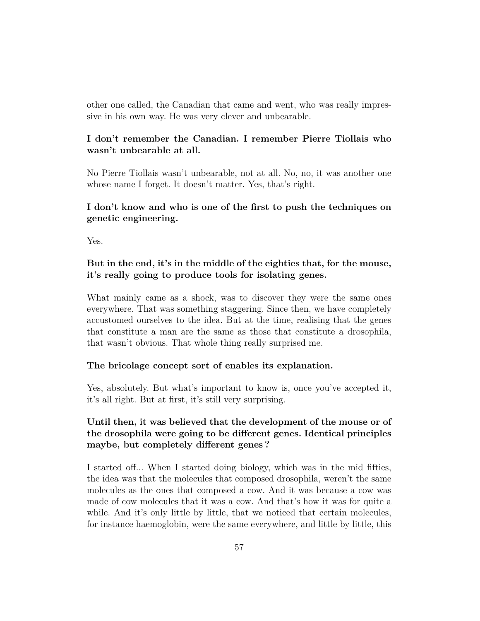other one called, the Canadian that came and went, who was really impressive in his own way. He was very clever and unbearable.

# **I don't remember the Canadian. I remember Pierre Tiollais who wasn't unbearable at all.**

No Pierre Tiollais wasn't unbearable, not at all. No, no, it was another one whose name I forget. It doesn't matter. Yes, that's right.

## **I don't know and who is one of the first to push the techniques on genetic engineering.**

Yes.

# **But in the end, it's in the middle of the eighties that, for the mouse, it's really going to produce tools for isolating genes.**

What mainly came as a shock, was to discover they were the same ones everywhere. That was something staggering. Since then, we have completely accustomed ourselves to the idea. But at the time, realising that the genes that constitute a man are the same as those that constitute a drosophila, that wasn't obvious. That whole thing really surprised me.

### **The bricolage concept sort of enables its explanation.**

Yes, absolutely. But what's important to know is, once you've accepted it, it's all right. But at first, it's still very surprising.

# **Until then, it was believed that the development of the mouse or of the drosophila were going to be different genes. Identical principles maybe, but completely different genes ?**

I started off... When I started doing biology, which was in the mid fifties, the idea was that the molecules that composed drosophila, weren't the same molecules as the ones that composed a cow. And it was because a cow was made of cow molecules that it was a cow. And that's how it was for quite a while. And it's only little by little, that we noticed that certain molecules, for instance haemoglobin, were the same everywhere, and little by little, this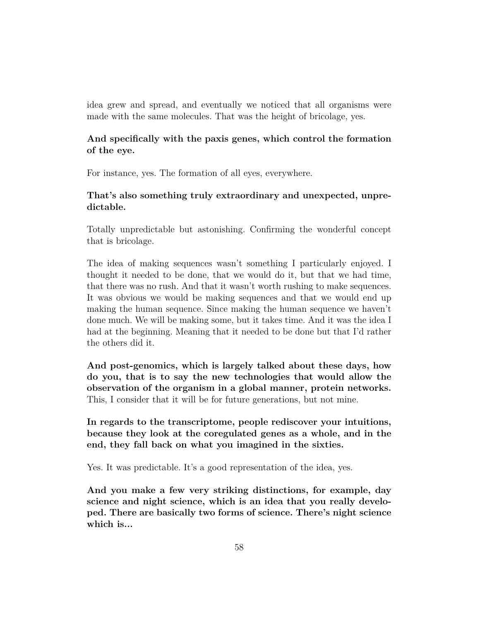idea grew and spread, and eventually we noticed that all organisms were made with the same molecules. That was the height of bricolage, yes.

## **And specifically with the paxis genes, which control the formation of the eye.**

For instance, yes. The formation of all eyes, everywhere.

## **That's also something truly extraordinary and unexpected, unpredictable.**

Totally unpredictable but astonishing. Confirming the wonderful concept that is bricolage.

The idea of making sequences wasn't something I particularly enjoyed. I thought it needed to be done, that we would do it, but that we had time, that there was no rush. And that it wasn't worth rushing to make sequences. It was obvious we would be making sequences and that we would end up making the human sequence. Since making the human sequence we haven't done much. We will be making some, but it takes time. And it was the idea I had at the beginning. Meaning that it needed to be done but that I'd rather the others did it.

**And post-genomics, which is largely talked about these days, how do you, that is to say the new technologies that would allow the observation of the organism in a global manner, protein networks.** This, I consider that it will be for future generations, but not mine.

**In regards to the transcriptome, people rediscover your intuitions, because they look at the coregulated genes as a whole, and in the end, they fall back on what you imagined in the sixties.**

Yes. It was predictable. It's a good representation of the idea, yes.

**And you make a few very striking distinctions, for example, day science and night science, which is an idea that you really developed. There are basically two forms of science. There's night science which is...**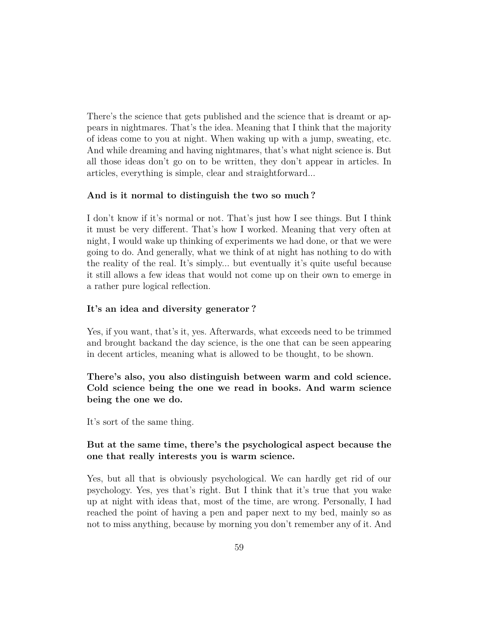There's the science that gets published and the science that is dreamt or appears in nightmares. That's the idea. Meaning that I think that the majority of ideas come to you at night. When waking up with a jump, sweating, etc. And while dreaming and having nightmares, that's what night science is. But all those ideas don't go on to be written, they don't appear in articles. In articles, everything is simple, clear and straightforward...

### **And is it normal to distinguish the two so much ?**

I don't know if it's normal or not. That's just how I see things. But I think it must be very different. That's how I worked. Meaning that very often at night, I would wake up thinking of experiments we had done, or that we were going to do. And generally, what we think of at night has nothing to do with the reality of the real. It's simply... but eventually it's quite useful because it still allows a few ideas that would not come up on their own to emerge in a rather pure logical reflection.

### **It's an idea and diversity generator ?**

Yes, if you want, that's it, yes. Afterwards, what exceeds need to be trimmed and brought backand the day science, is the one that can be seen appearing in decent articles, meaning what is allowed to be thought, to be shown.

# **There's also, you also distinguish between warm and cold science. Cold science being the one we read in books. And warm science being the one we do.**

It's sort of the same thing.

## **But at the same time, there's the psychological aspect because the one that really interests you is warm science.**

Yes, but all that is obviously psychological. We can hardly get rid of our psychology. Yes, yes that's right. But I think that it's true that you wake up at night with ideas that, most of the time, are wrong. Personally, I had reached the point of having a pen and paper next to my bed, mainly so as not to miss anything, because by morning you don't remember any of it. And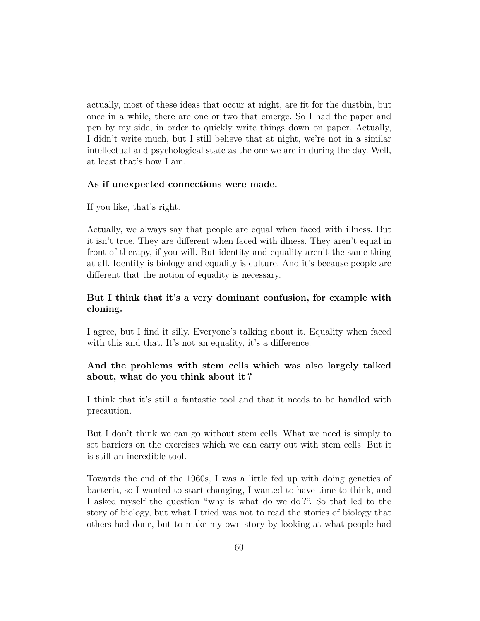actually, most of these ideas that occur at night, are fit for the dustbin, but once in a while, there are one or two that emerge. So I had the paper and pen by my side, in order to quickly write things down on paper. Actually, I didn't write much, but I still believe that at night, we're not in a similar intellectual and psychological state as the one we are in during the day. Well, at least that's how I am.

### **As if unexpected connections were made.**

If you like, that's right.

Actually, we always say that people are equal when faced with illness. But it isn't true. They are different when faced with illness. They aren't equal in front of therapy, if you will. But identity and equality aren't the same thing at all. Identity is biology and equality is culture. And it's because people are different that the notion of equality is necessary.

## **But I think that it's a very dominant confusion, for example with cloning.**

I agree, but I find it silly. Everyone's talking about it. Equality when faced with this and that. It's not an equality, it's a difference.

## **And the problems with stem cells which was also largely talked about, what do you think about it ?**

I think that it's still a fantastic tool and that it needs to be handled with precaution.

But I don't think we can go without stem cells. What we need is simply to set barriers on the exercises which we can carry out with stem cells. But it is still an incredible tool.

Towards the end of the 1960s, I was a little fed up with doing genetics of bacteria, so I wanted to start changing, I wanted to have time to think, and I asked myself the question "why is what do we do ?". So that led to the story of biology, but what I tried was not to read the stories of biology that others had done, but to make my own story by looking at what people had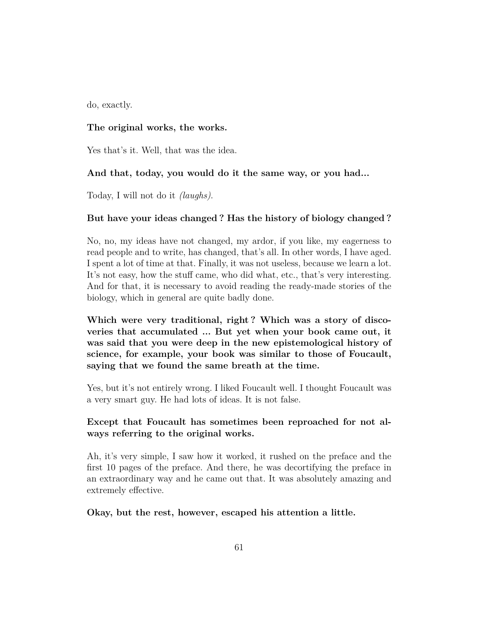do, exactly.

### **The original works, the works.**

Yes that's it. Well, that was the idea.

### **And that, today, you would do it the same way, or you had...**

Today, I will not do it *(laughs)*.

### **But have your ideas changed ? Has the history of biology changed ?**

No, no, my ideas have not changed, my ardor, if you like, my eagerness to read people and to write, has changed, that's all. In other words, I have aged. I spent a lot of time at that. Finally, it was not useless, because we learn a lot. It's not easy, how the stuff came, who did what, etc., that's very interesting. And for that, it is necessary to avoid reading the ready-made stories of the biology, which in general are quite badly done.

**Which were very traditional, right ? Which was a story of discoveries that accumulated ... But yet when your book came out, it was said that you were deep in the new epistemological history of science, for example, your book was similar to those of Foucault, saying that we found the same breath at the time.**

Yes, but it's not entirely wrong. I liked Foucault well. I thought Foucault was a very smart guy. He had lots of ideas. It is not false.

## **Except that Foucault has sometimes been reproached for not always referring to the original works.**

Ah, it's very simple, I saw how it worked, it rushed on the preface and the first 10 pages of the preface. And there, he was decortifying the preface in an extraordinary way and he came out that. It was absolutely amazing and extremely effective.

**Okay, but the rest, however, escaped his attention a little.**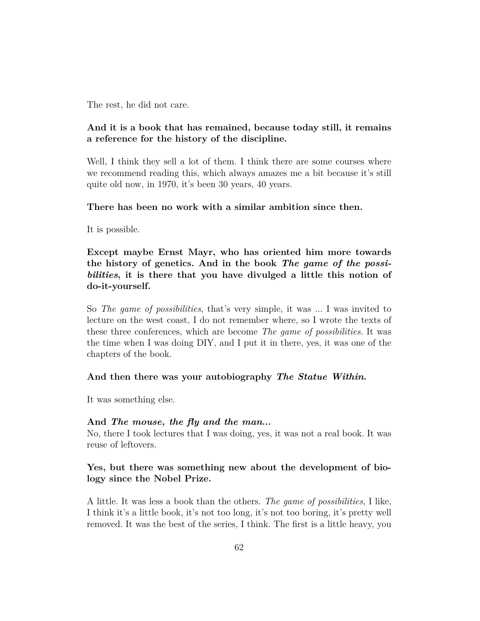The rest, he did not care.

## **And it is a book that has remained, because today still, it remains a reference for the history of the discipline.**

Well, I think they sell a lot of them. I think there are some courses where we recommend reading this, which always amazes me a bit because it's still quite old now, in 1970, it's been 30 years, 40 years.

### **There has been no work with a similar ambition since then.**

It is possible.

**Except maybe Ernst Mayr, who has oriented him more towards the history of genetics. And in the book** *The game of the possibilities***, it is there that you have divulged a little this notion of do-it-yourself.**

So *The game of possibilities*, that's very simple, it was ... I was invited to lecture on the west coast, I do not remember where, so I wrote the texts of these three conferences, which are become *The game of possibilities*. It was the time when I was doing DIY, and I put it in there, yes, it was one of the chapters of the book.

### **And then there was your autobiography** *The Statue Within***.**

It was something else.

### **And** *The mouse, the fly and the man***...**

No, there I took lectures that I was doing, yes, it was not a real book. It was reuse of leftovers.

## **Yes, but there was something new about the development of biology since the Nobel Prize.**

A little. It was less a book than the others. *The game of possibilities*, I like, I think it's a little book, it's not too long, it's not too boring, it's pretty well removed. It was the best of the series, I think. The first is a little heavy, you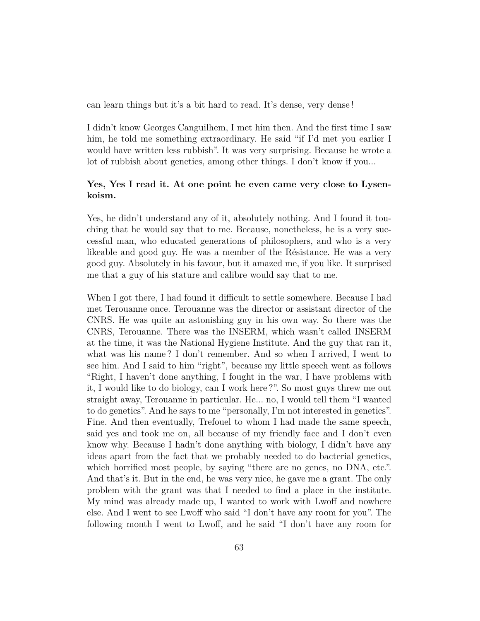can learn things but it's a bit hard to read. It's dense, very dense !

I didn't know Georges Canguilhem, I met him then. And the first time I saw him, he told me something extraordinary. He said "if I'd met you earlier I would have written less rubbish". It was very surprising. Because he wrote a lot of rubbish about genetics, among other things. I don't know if you...

## **Yes, Yes I read it. At one point he even came very close to Lysenkoism.**

Yes, he didn't understand any of it, absolutely nothing. And I found it touching that he would say that to me. Because, nonetheless, he is a very successful man, who educated generations of philosophers, and who is a very likeable and good guy. He was a member of the Résistance. He was a very good guy. Absolutely in his favour, but it amazed me, if you like. It surprised me that a guy of his stature and calibre would say that to me.

When I got there, I had found it difficult to settle somewhere. Because I had met Terouanne once. Terouanne was the director or assistant director of the CNRS. He was quite an astonishing guy in his own way. So there was the CNRS, Terouanne. There was the INSERM, which wasn't called INSERM at the time, it was the National Hygiene Institute. And the guy that ran it, what was his name ? I don't remember. And so when I arrived, I went to see him. And I said to him "right", because my little speech went as follows "Right, I haven't done anything, I fought in the war, I have problems with it, I would like to do biology, can I work here ?". So most guys threw me out straight away, Terouanne in particular. He... no, I would tell them "I wanted to do genetics". And he says to me "personally, I'm not interested in genetics". Fine. And then eventually, Trefouel to whom I had made the same speech, said yes and took me on, all because of my friendly face and I don't even know why. Because I hadn't done anything with biology, I didn't have any ideas apart from the fact that we probably needed to do bacterial genetics, which horrified most people, by saying "there are no genes, no DNA, etc.". And that's it. But in the end, he was very nice, he gave me a grant. The only problem with the grant was that I needed to find a place in the institute. My mind was already made up, I wanted to work with Lwoff and nowhere else. And I went to see Lwoff who said "I don't have any room for you". The following month I went to Lwoff, and he said "I don't have any room for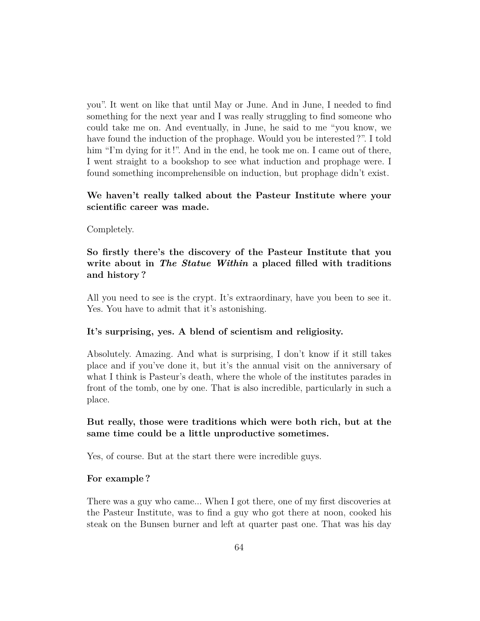you". It went on like that until May or June. And in June, I needed to find something for the next year and I was really struggling to find someone who could take me on. And eventually, in June, he said to me "you know, we have found the induction of the prophage. Would you be interested ?". I told him "I'm dying for it!". And in the end, he took me on. I came out of there, I went straight to a bookshop to see what induction and prophage were. I found something incomprehensible on induction, but prophage didn't exist.

## **We haven't really talked about the Pasteur Institute where your scientific career was made.**

### Completely.

## **So firstly there's the discovery of the Pasteur Institute that you write about in** *The Statue Within* **a placed filled with traditions and history ?**

All you need to see is the crypt. It's extraordinary, have you been to see it. Yes. You have to admit that it's astonishing.

### **It's surprising, yes. A blend of scientism and religiosity.**

Absolutely. Amazing. And what is surprising, I don't know if it still takes place and if you've done it, but it's the annual visit on the anniversary of what I think is Pasteur's death, where the whole of the institutes parades in front of the tomb, one by one. That is also incredible, particularly in such a place.

## **But really, those were traditions which were both rich, but at the same time could be a little unproductive sometimes.**

Yes, of course. But at the start there were incredible guys.

#### **For example ?**

There was a guy who came... When I got there, one of my first discoveries at the Pasteur Institute, was to find a guy who got there at noon, cooked his steak on the Bunsen burner and left at quarter past one. That was his day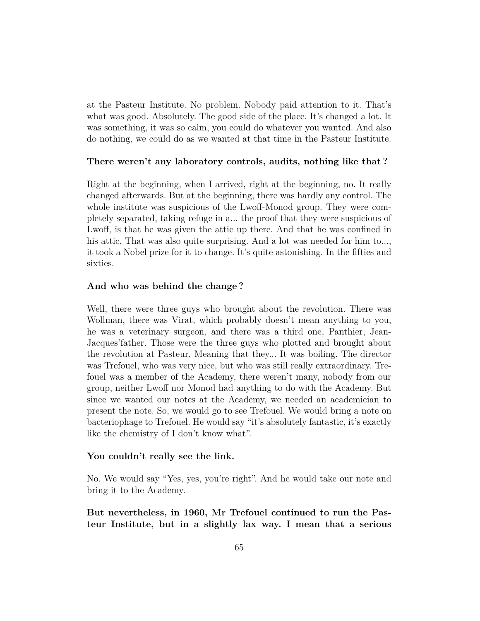at the Pasteur Institute. No problem. Nobody paid attention to it. That's what was good. Absolutely. The good side of the place. It's changed a lot. It was something, it was so calm, you could do whatever you wanted. And also do nothing, we could do as we wanted at that time in the Pasteur Institute.

### **There weren't any laboratory controls, audits, nothing like that ?**

Right at the beginning, when I arrived, right at the beginning, no. It really changed afterwards. But at the beginning, there was hardly any control. The whole institute was suspicious of the Lwoff-Monod group. They were completely separated, taking refuge in a... the proof that they were suspicious of Lwoff, is that he was given the attic up there. And that he was confined in his attic. That was also quite surprising. And a lot was needed for him to..., it took a Nobel prize for it to change. It's quite astonishing. In the fifties and sixties.

#### **And who was behind the change ?**

Well, there were three guys who brought about the revolution. There was Wollman, there was Virat, which probably doesn't mean anything to you, he was a veterinary surgeon, and there was a third one, Panthier, Jean-Jacques'father. Those were the three guys who plotted and brought about the revolution at Pasteur. Meaning that they... It was boiling. The director was Trefouel, who was very nice, but who was still really extraordinary. Trefouel was a member of the Academy, there weren't many, nobody from our group, neither Lwoff nor Monod had anything to do with the Academy. But since we wanted our notes at the Academy, we needed an academician to present the note. So, we would go to see Trefouel. We would bring a note on bacteriophage to Trefouel. He would say "it's absolutely fantastic, it's exactly like the chemistry of I don't know what".

#### **You couldn't really see the link.**

No. We would say "Yes, yes, you're right". And he would take our note and bring it to the Academy.

**But nevertheless, in 1960, Mr Trefouel continued to run the Pasteur Institute, but in a slightly lax way. I mean that a serious**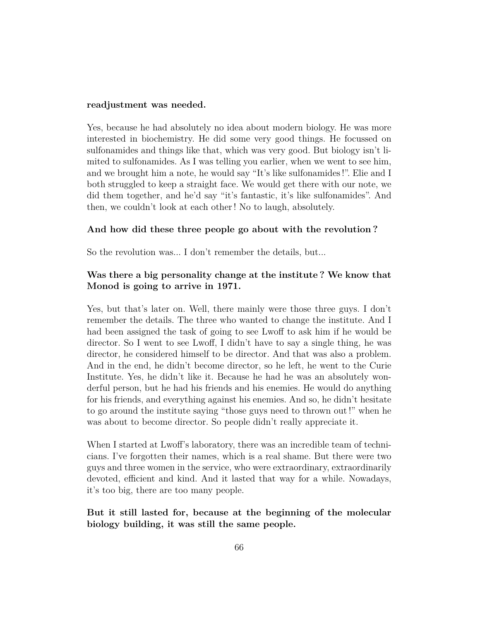#### **readjustment was needed.**

Yes, because he had absolutely no idea about modern biology. He was more interested in biochemistry. He did some very good things. He focussed on sulfonamides and things like that, which was very good. But biology isn't limited to sulfonamides. As I was telling you earlier, when we went to see him, and we brought him a note, he would say "It's like sulfonamides !". Elie and I both struggled to keep a straight face. We would get there with our note, we did them together, and he'd say "it's fantastic, it's like sulfonamides". And then, we couldn't look at each other ! No to laugh, absolutely.

### **And how did these three people go about with the revolution ?**

So the revolution was... I don't remember the details, but...

## **Was there a big personality change at the institute ? We know that Monod is going to arrive in 1971.**

Yes, but that's later on. Well, there mainly were those three guys. I don't remember the details. The three who wanted to change the institute. And I had been assigned the task of going to see Lwoff to ask him if he would be director. So I went to see Lwoff, I didn't have to say a single thing, he was director, he considered himself to be director. And that was also a problem. And in the end, he didn't become director, so he left, he went to the Curie Institute. Yes, he didn't like it. Because he had he was an absolutely wonderful person, but he had his friends and his enemies. He would do anything for his friends, and everything against his enemies. And so, he didn't hesitate to go around the institute saying "those guys need to thrown out !" when he was about to become director. So people didn't really appreciate it.

When I started at Lwoff's laboratory, there was an incredible team of technicians. I've forgotten their names, which is a real shame. But there were two guys and three women in the service, who were extraordinary, extraordinarily devoted, efficient and kind. And it lasted that way for a while. Nowadays, it's too big, there are too many people.

## **But it still lasted for, because at the beginning of the molecular biology building, it was still the same people.**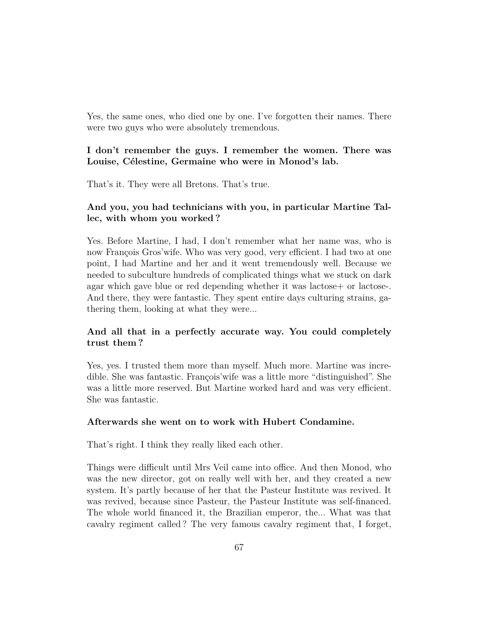Yes, the same ones, who died one by one. I've forgotten their names. There were two guys who were absolutely tremendous.

## **I don't remember the guys. I remember the women. There was Louise, Célestine, Germaine who were in Monod's lab.**

That's it. They were all Bretons. That's true.

# **And you, you had technicians with you, in particular Martine Tallec, with whom you worked ?**

Yes. Before Martine, I had, I don't remember what her name was, who is now François Gros'wife. Who was very good, very efficient. I had two at one point, I had Martine and her and it went tremendously well. Because we needed to subculture hundreds of complicated things what we stuck on dark agar which gave blue or red depending whether it was lactose- or lactose-. And there, they were fantastic. They spent entire days culturing strains, gathering them, looking at what they were...

## **And all that in a perfectly accurate way. You could completely trust them ?**

Yes, yes. I trusted them more than myself. Much more. Martine was incredible. She was fantastic. François'wife was a little more "distinguished". She was a little more reserved. But Martine worked hard and was very efficient. She was fantastic.

### **Afterwards she went on to work with Hubert Condamine.**

That's right. I think they really liked each other.

Things were difficult until Mrs Veil came into office. And then Monod, who was the new director, got on really well with her, and they created a new system. It's partly because of her that the Pasteur Institute was revived. It was revived, because since Pasteur, the Pasteur Institute was self-financed. The whole world financed it, the Brazilian emperor, the... What was that cavalry regiment called ? The very famous cavalry regiment that, I forget,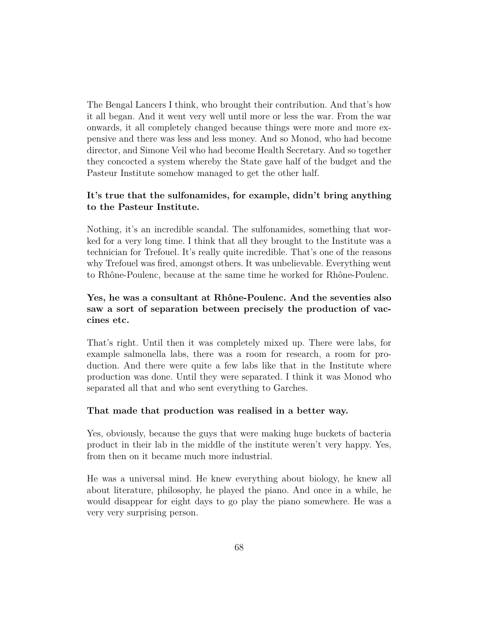The Bengal Lancers I think, who brought their contribution. And that's how it all began. And it went very well until more or less the war. From the war onwards, it all completely changed because things were more and more expensive and there was less and less money. And so Monod, who had become director, and Simone Veil who had become Health Secretary. And so together they concocted a system whereby the State gave half of the budget and the Pasteur Institute somehow managed to get the other half.

## **It's true that the sulfonamides, for example, didn't bring anything to the Pasteur Institute.**

Nothing, it's an incredible scandal. The sulfonamides, something that worked for a very long time. I think that all they brought to the Institute was a technician for Trefouel. It's really quite incredible. That's one of the reasons why Trefouel was fired, amongst others. It was unbelievable. Everything went to Rhône-Poulenc, because at the same time he worked for Rhône-Poulenc.

# **Yes, he was a consultant at Rhône-Poulenc. And the seventies also saw a sort of separation between precisely the production of vaccines etc.**

That's right. Until then it was completely mixed up. There were labs, for example salmonella labs, there was a room for research, a room for production. And there were quite a few labs like that in the Institute where production was done. Until they were separated. I think it was Monod who separated all that and who sent everything to Garches.

### **That made that production was realised in a better way.**

Yes, obviously, because the guys that were making huge buckets of bacteria product in their lab in the middle of the institute weren't very happy. Yes, from then on it became much more industrial.

He was a universal mind. He knew everything about biology, he knew all about literature, philosophy, he played the piano. And once in a while, he would disappear for eight days to go play the piano somewhere. He was a very very surprising person.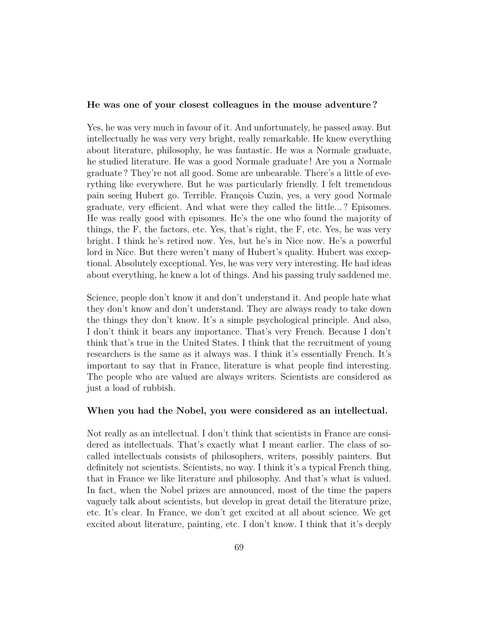#### **He was one of your closest colleagues in the mouse adventure ?**

Yes, he was very much in favour of it. And unfortunately, he passed away. But intellectually he was very very bright, really remarkable. He knew everything about literature, philosophy, he was fantastic. He was a Normale graduate, he studied literature. He was a good Normale graduate ! Are you a Normale graduate ? They're not all good. Some are unbearable. There's a little of everything like everywhere. But he was particularly friendly. I felt tremendous pain seeing Hubert go. Terrible. François Cuzin, yes, a very good Normale graduate, very efficient. And what were they called the little... ? Episomes. He was really good with episomes. He's the one who found the majority of things, the F, the factors, etc. Yes, that's right, the F, etc. Yes, he was very bright. I think he's retired now. Yes, but he's in Nice now. He's a powerful lord in Nice. But there weren't many of Hubert's quality. Hubert was exceptional. Absolutely exceptional. Yes, he was very very interesting. He had ideas about everything, he knew a lot of things. And his passing truly saddened me.

Science, people don't know it and don't understand it. And people hate what they don't know and don't understand. They are always ready to take down the things they don't know. It's a simple psychological principle. And also, I don't think it bears any importance. That's very French. Because I don't think that's true in the United States. I think that the recruitment of young researchers is the same as it always was. I think it's essentially French. It's important to say that in France, literature is what people find interesting. The people who are valued are always writers. Scientists are considered as just a load of rubbish.

### **When you had the Nobel, you were considered as an intellectual.**

Not really as an intellectual. I don't think that scientists in France are considered as intellectuals. That's exactly what I meant earlier. The class of socalled intellectuals consists of philosophers, writers, possibly painters. But definitely not scientists. Scientists, no way. I think it's a typical French thing, that in France we like literature and philosophy. And that's what is valued. In fact, when the Nobel prizes are announced, most of the time the papers vaguely talk about scientists, but develop in great detail the literature prize, etc. It's clear. In France, we don't get excited at all about science. We get excited about literature, painting, etc. I don't know. I think that it's deeply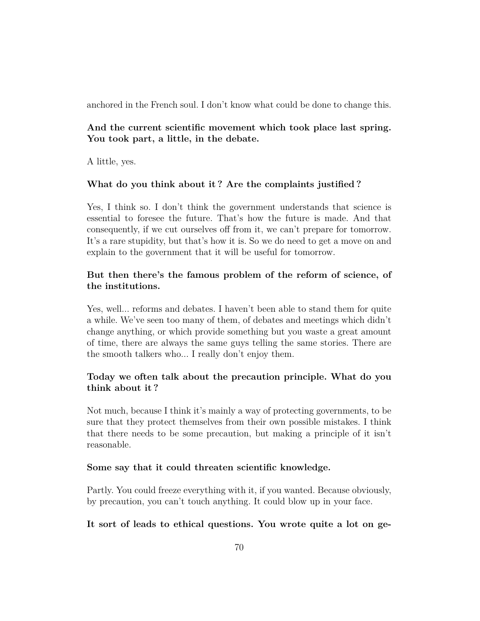anchored in the French soul. I don't know what could be done to change this.

# **And the current scientific movement which took place last spring. You took part, a little, in the debate.**

A little, yes.

## **What do you think about it ? Are the complaints justified ?**

Yes, I think so. I don't think the government understands that science is essential to foresee the future. That's how the future is made. And that consequently, if we cut ourselves off from it, we can't prepare for tomorrow. It's a rare stupidity, but that's how it is. So we do need to get a move on and explain to the government that it will be useful for tomorrow.

# **But then there's the famous problem of the reform of science, of the institutions.**

Yes, well... reforms and debates. I haven't been able to stand them for quite a while. We've seen too many of them, of debates and meetings which didn't change anything, or which provide something but you waste a great amount of time, there are always the same guys telling the same stories. There are the smooth talkers who... I really don't enjoy them.

# **Today we often talk about the precaution principle. What do you think about it ?**

Not much, because I think it's mainly a way of protecting governments, to be sure that they protect themselves from their own possible mistakes. I think that there needs to be some precaution, but making a principle of it isn't reasonable.

### **Some say that it could threaten scientific knowledge.**

Partly. You could freeze everything with it, if you wanted. Because obviously, by precaution, you can't touch anything. It could blow up in your face.

## **It sort of leads to ethical questions. You wrote quite a lot on ge-**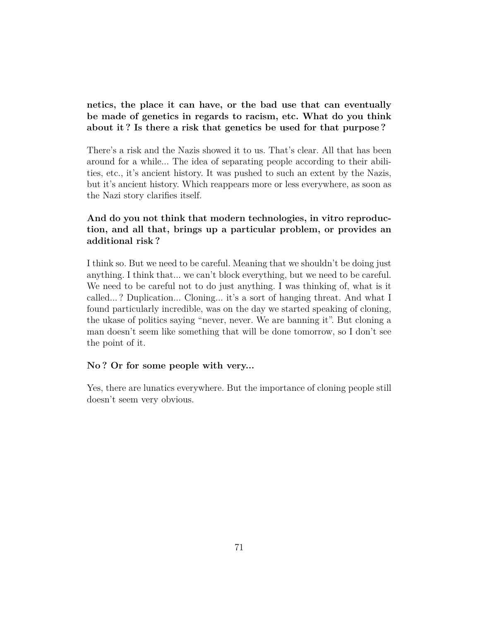# **netics, the place it can have, or the bad use that can eventually be made of genetics in regards to racism, etc. What do you think about it ? Is there a risk that genetics be used for that purpose ?**

There's a risk and the Nazis showed it to us. That's clear. All that has been around for a while... The idea of separating people according to their abilities, etc., it's ancient history. It was pushed to such an extent by the Nazis, but it's ancient history. Which reappears more or less everywhere, as soon as the Nazi story clarifies itself.

# **And do you not think that modern technologies, in vitro reproduction, and all that, brings up a particular problem, or provides an additional risk ?**

I think so. But we need to be careful. Meaning that we shouldn't be doing just anything. I think that... we can't block everything, but we need to be careful. We need to be careful not to do just anything. I was thinking of, what is it called... ? Duplication... Cloning... it's a sort of hanging threat. And what I found particularly incredible, was on the day we started speaking of cloning, the ukase of politics saying "never, never. We are banning it". But cloning a man doesn't seem like something that will be done tomorrow, so I don't see the point of it.

### **No ? Or for some people with very...**

Yes, there are lunatics everywhere. But the importance of cloning people still doesn't seem very obvious.